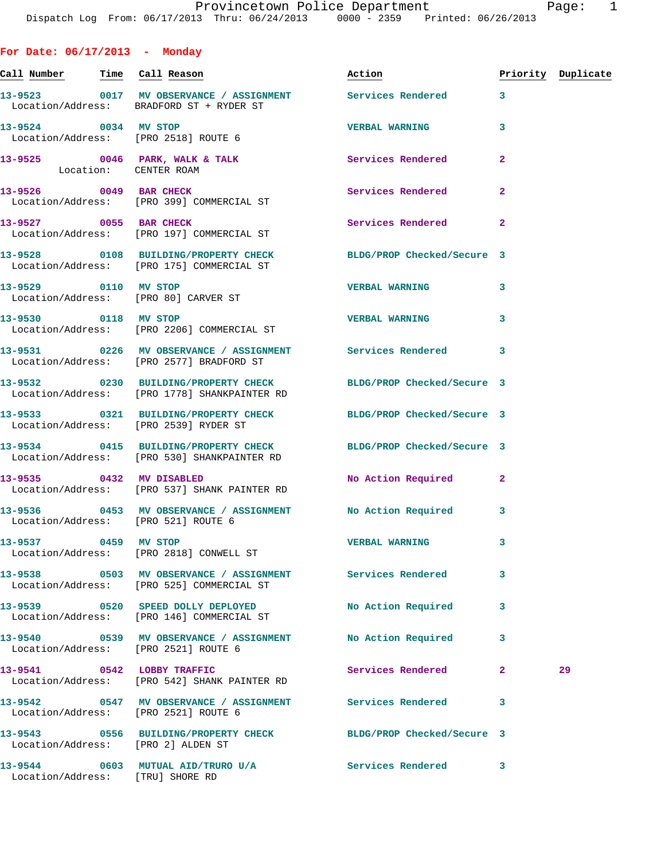**For Date: 06/17/2013 - Monday Call Number Time Call Reason Action Priority Duplicate 13-9523 0017 MV OBSERVANCE / ASSIGNMENT Services Rendered 3**  Location/Address: BRADFORD ST + RYDER ST **13-9524 0034 MV STOP VERBAL WARNING 3**  Location/Address: [PRO 2518] ROUTE 6 13-9525 0046 PARK, WALK & TALK **Services Rendered** 2 Location: CENTER ROAM **13-9526** 0049 BAR CHECK **13-9526** Services Rendered 2 Location/Address: [PRO 399] COMMERCIAL ST **13-9527 0055 BAR CHECK Services Rendered 2**  Location/Address: [PRO 197] COMMERCIAL ST **13-9528 0108 BUILDING/PROPERTY CHECK BLDG/PROP Checked/Secure 3**  Location/Address: [PRO 175] COMMERCIAL ST **13-9529 0110 MV STOP VERBAL WARNING 3**  Location/Address: [PRO 80] CARVER ST **13-9530 0118 MV STOP VERBAL WARNING 3**  Location/Address: [PRO 2206] COMMERCIAL ST **13-9531 0226 MV OBSERVANCE / ASSIGNMENT Services Rendered 3**  Location/Address: [PRO 2577] BRADFORD ST **13-9532 0230 BUILDING/PROPERTY CHECK BLDG/PROP Checked/Secure 3**  Location/Address: [PRO 1778] SHANKPAINTER RD **13-9533 0321 BUILDING/PROPERTY CHECK BLDG/PROP Checked/Secure 3**  Location/Address: [PRO 2539] RYDER ST **13-9534 0415 BUILDING/PROPERTY CHECK BLDG/PROP Checked/Secure 3**  Location/Address: [PRO 530] SHANKPAINTER RD **13-9535 0432 MV DISABLED No Action Required 2**  Location/Address: [PRO 537] SHANK PAINTER RD **13-9536 0453 MV OBSERVANCE / ASSIGNMENT No Action Required 3**  Location/Address: [PRO 521] ROUTE 6 **13-9537 0459 MV STOP VERBAL WARNING 3**  Location/Address: [PRO 2818] CONWELL ST **13-9538 0503 MV OBSERVANCE / ASSIGNMENT Services Rendered 3**  Location/Address: [PRO 525] COMMERCIAL ST **13-9539 0520 SPEED DOLLY DEPLOYED No Action Required 3**  Location/Address: [PRO 146] COMMERCIAL ST **13-9540 0539 MV OBSERVANCE / ASSIGNMENT No Action Required 3**  Location/Address: [PRO 2521] ROUTE 6 **13-9541 0542 LOBBY TRAFFIC Services Rendered 2 29**  Location/Address: [PRO 542] SHANK PAINTER RD **13-9542 0547 MV OBSERVANCE / ASSIGNMENT Services Rendered 3**  Location/Address: [PRO 2521] ROUTE 6

**13-9543 0556 BUILDING/PROPERTY CHECK BLDG/PROP Checked/Secure 3**  Location/Address: [PRO 2] ALDEN ST

Location/Address: [TRU] SHORE RD

**13-9544 0603 MUTUAL AID/TRURO U/A Services Rendered 3**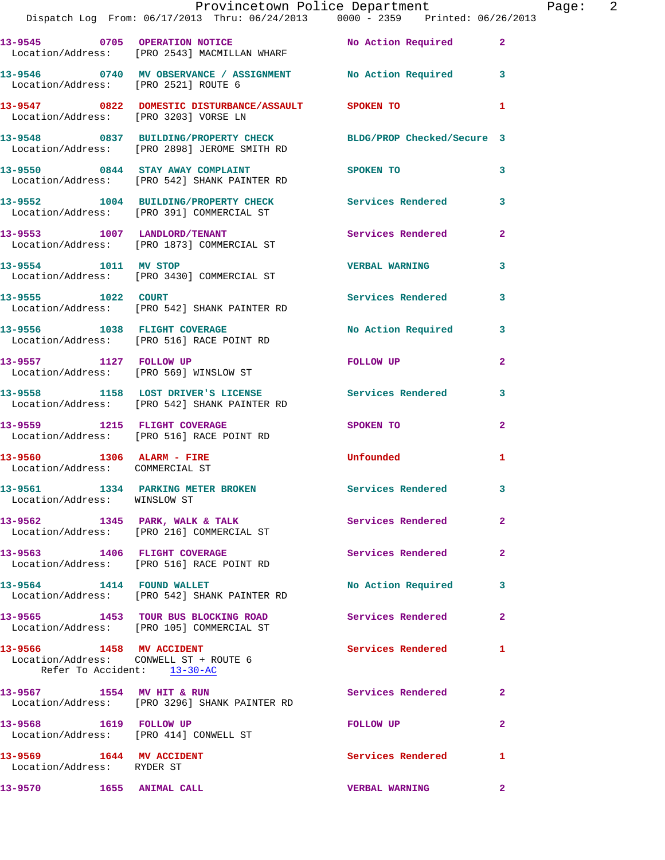|                                                                       | Provincetown Police Department The Page: 2<br>Dispatch Log From: 06/17/2013 Thru: 06/24/2013 0000 - 2359 Printed: 06/26/2013 |                          |                |  |
|-----------------------------------------------------------------------|------------------------------------------------------------------------------------------------------------------------------|--------------------------|----------------|--|
|                                                                       | 13-9545 0705 OPERATION NOTICE No Action Required 2<br>Location/Address: [PRO 2543] MACMILLAN WHARF                           |                          |                |  |
|                                                                       | 13-9546 0740 MV OBSERVANCE / ASSIGNMENT No Action Required 3<br>Location/Address: [PRO 2521] ROUTE 6                         |                          |                |  |
|                                                                       |                                                                                                                              |                          | 1              |  |
|                                                                       | 13-9548 0837 BUILDING/PROPERTY CHECK BLDG/PROP Checked/Secure 3<br>Location/Address: [PRO 2898] JEROME SMITH RD              |                          |                |  |
|                                                                       | 13-9550 0844 STAY AWAY COMPLAINT<br>Location/Address: [PRO 542] SHANK PAINTER RD                                             | SPOKEN TO                | 3              |  |
|                                                                       | 13-9552 1004 BUILDING/PROPERTY CHECK Services Rendered<br>Location/Address: [PRO 391] COMMERCIAL ST                          |                          | 3              |  |
|                                                                       | 13-9553 1007 LANDLORD/TENANT<br>Location/Address: [PRO 1873] COMMERCIAL ST                                                   | Services Rendered        | $\mathbf{2}$   |  |
|                                                                       | 13-9554 1011 MV STOP<br>Location/Address: [PRO 3430] COMMERCIAL ST                                                           | <b>VERBAL WARNING</b>    | 3              |  |
| 13-9555 1022 COURT                                                    | Location/Address: [PRO 542] SHANK PAINTER RD                                                                                 | Services Rendered 3      |                |  |
|                                                                       | 13-9556 1038 FLIGHT COVERAGE<br>Location/Address: [PRO 516] RACE POINT RD                                                    | No Action Required       | $\mathbf{3}$   |  |
|                                                                       | 13-9557 1127 FOLLOW UP<br>Location/Address: [PRO 569] WINSLOW ST                                                             | FOLLOW UP                | $\overline{2}$ |  |
|                                                                       | 13-9558 1158 LOST DRIVER'S LICENSE 10 Services Rendered<br>Location/Address: [PRO 542] SHANK PAINTER RD                      |                          | 3              |  |
|                                                                       | 13-9559 1215 FLIGHT COVERAGE<br>Location/Address: [PRO 516] RACE POINT RD                                                    | SPOKEN TO                | $\mathbf{2}$   |  |
| Location/Address: COMMERCIAL ST                                       | 13-9560 1306 ALARM - FIRE                                                                                                    | <b>Unfounded</b>         | 1              |  |
| Location/Address: WINSLOW ST                                          | 13-9561 1334 PARKING METER BROKEN                                                                                            | <b>Services Rendered</b> |                |  |
|                                                                       | 13-9562 1345 PARK, WALK & TALK Services Rendered<br>Location/Address: [PRO 216] COMMERCIAL ST                                |                          | $\overline{2}$ |  |
|                                                                       | 13-9563 1406 FLIGHT COVERAGE<br>Location/Address: [PRO 516] RACE POINT RD                                                    | Services Rendered        | $\overline{2}$ |  |
|                                                                       | 13-9564 1414 FOUND WALLET<br>Location/Address: [PRO 542] SHANK PAINTER RD                                                    | No Action Required       | 3              |  |
|                                                                       | 13-9565 1453 TOUR BUS BLOCKING ROAD<br>Location/Address: [PRO 105] COMMERCIAL ST                                             | Services Rendered        | $\overline{2}$ |  |
| Location/Address: CONWELL ST + ROUTE 6<br>Refer To Accident: 13-30-AC | 13-9566 1458 MV ACCIDENT                                                                                                     | <b>Services Rendered</b> | 1              |  |
|                                                                       | 13-9567 1554 MV HIT & RUN<br>Location/Address: [PRO 3296] SHANK PAINTER RD                                                   | Services Rendered        | 2              |  |
| 13-9568 1619 FOLLOW UP<br>Location/Address: [PRO 414] CONWELL ST      |                                                                                                                              | <b>FOLLOW UP</b>         | $\overline{2}$ |  |
| 13-9569 1644 MV ACCIDENT<br>Location/Address: RYDER ST                |                                                                                                                              | Services Rendered        | 1              |  |
| 13-9570 1655 ANIMAL CALL                                              |                                                                                                                              | <b>VERBAL WARNING</b>    | $\overline{2}$ |  |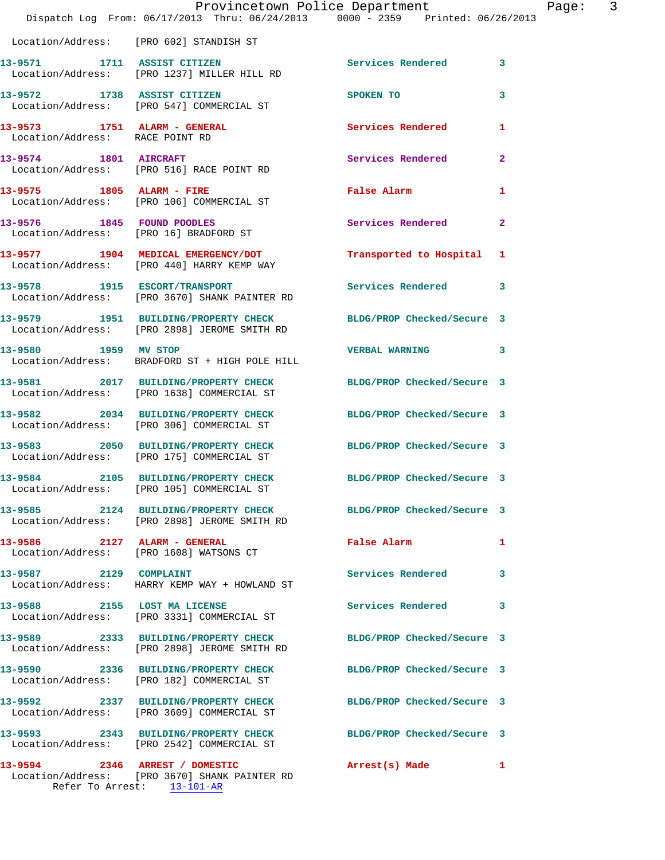|                                 | Dispatch Log From: 06/17/2013 Thru: 06/24/2013 0000 - 2359 Printed: 06/26/2013                                  | Provincetown Police Department                                                                                 | Page: 3      |
|---------------------------------|-----------------------------------------------------------------------------------------------------------------|----------------------------------------------------------------------------------------------------------------|--------------|
|                                 | Location/Address: [PRO 602] STANDISH ST                                                                         |                                                                                                                |              |
|                                 | 13-9571 1711 ASSIST CITIZEN<br>Location/Address: [PRO 1237] MILLER HILL RD                                      | Services Rendered 3                                                                                            |              |
|                                 | 13-9572 1738 ASSIST CITIZEN<br>Location/Address: [PRO 547] COMMERCIAL ST                                        | SPOKEN TO                                                                                                      | 3            |
| Location/Address: RACE POINT RD | 13-9573 1751 ALARM - GENERAL                                                                                    | Services Rendered 1                                                                                            |              |
|                                 | 13-9574 1801 AIRCRAFT<br>Location/Address: [PRO 516] RACE POINT RD                                              | Services Rendered                                                                                              | $\mathbf{2}$ |
| 13-9575 1805 ALARM - FIRE       | Location/Address: [PRO 106] COMMERCIAL ST                                                                       | False Alarm <b>Exercise Service Service Service</b>                                                            | $\mathbf{1}$ |
|                                 | 13-9576 1845 FOUND POODLES<br>Location/Address: [PRO 16] BRADFORD ST                                            | Services Rendered                                                                                              | $\mathbf{2}$ |
|                                 | 13-9577 1904 MEDICAL EMERGENCY/DOT<br>Location/Address: [PRO 440] HARRY KEMP WAY                                | Transported to Hospital 1                                                                                      |              |
|                                 | 13-9578 1915 ESCORT/TRANSPORT<br>Location/Address: [PRO 3670] SHANK PAINTER RD                                  | Services Rendered 3                                                                                            |              |
|                                 | 13-9579 1951 BUILDING/PROPERTY CHECK<br>Location/Address: [PRO 2898] JEROME SMITH RD                            | BLDG/PROP Checked/Secure 3                                                                                     |              |
|                                 | 13-9580 1959 MV STOP<br>Location/Address: BRADFORD ST + HIGH POLE HILL                                          | VERBAL WARNING 3                                                                                               |              |
|                                 | 13-9581 2017 BUILDING/PROPERTY CHECK BLDG/PROP Checked/Secure 3<br>Location/Address: [PRO 1638] COMMERCIAL ST   |                                                                                                                |              |
|                                 | 13-9582 2034 BUILDING/PROPERTY CHECK<br>Location/Address: [PRO 306] COMMERCIAL ST                               | BLDG/PROP Checked/Secure 3                                                                                     |              |
|                                 | 13-9583 2050 BUILDING/PROPERTY CHECK BLDG/PROP Checked/Secure 3<br>Location/Address: [PRO 175] COMMERCIAL ST    |                                                                                                                |              |
|                                 | 13-9584 2105 BUILDING/PROPERTY CHECK BLDG/PROP Checked/Secure 3<br>Location/Address: [PRO 105] COMMERCIAL ST    |                                                                                                                |              |
|                                 | 13-9585 2124 BUILDING/PROPERTY CHECK BLDG/PROP Checked/Secure 3<br>Location/Address: [PRO 2898] JEROME SMITH RD |                                                                                                                |              |
|                                 | 13-9586 2127 ALARM - GENERAL<br>Location/Address: [PRO 1608] WATSONS CT                                         | False Alarm and the state of the state of the state of the state of the state of the state of the state of the | $\mathbf{1}$ |
| 13-9587 2129 COMPLAINT          | Location/Address: HARRY KEMP WAY + HOWLAND ST                                                                   | Services Rendered 3                                                                                            |              |
|                                 | 13-9588 2155 LOST MA LICENSE<br>Location/Address: [PRO 3331] COMMERCIAL ST                                      | Services Rendered                                                                                              | 3            |
|                                 | 13-9589 2333 BUILDING/PROPERTY CHECK BLDG/PROP Checked/Secure 3<br>Location/Address: [PRO 2898] JEROME SMITH RD |                                                                                                                |              |
|                                 | 13-9590 2336 BUILDING/PROPERTY CHECK<br>Location/Address: [PRO 182] COMMERCIAL ST                               | BLDG/PROP Checked/Secure 3                                                                                     |              |
|                                 | 13-9592 2337 BUILDING/PROPERTY CHECK<br>Location/Address: [PRO 3609] COMMERCIAL ST                              | BLDG/PROP Checked/Secure 3                                                                                     |              |
|                                 | 13-9593 2343 BUILDING/PROPERTY CHECK BLDG/PROP Checked/Secure 3<br>Location/Address: [PRO 2542] COMMERCIAL ST   |                                                                                                                |              |
|                                 | 13-9594 2346 ARREST / DOMESTIC<br>Location/Address: [PRO 3670] SHANK PAINTER RD<br>Refer To Arrest: 13-101-AR   | Arrest(s) Made 1                                                                                               |              |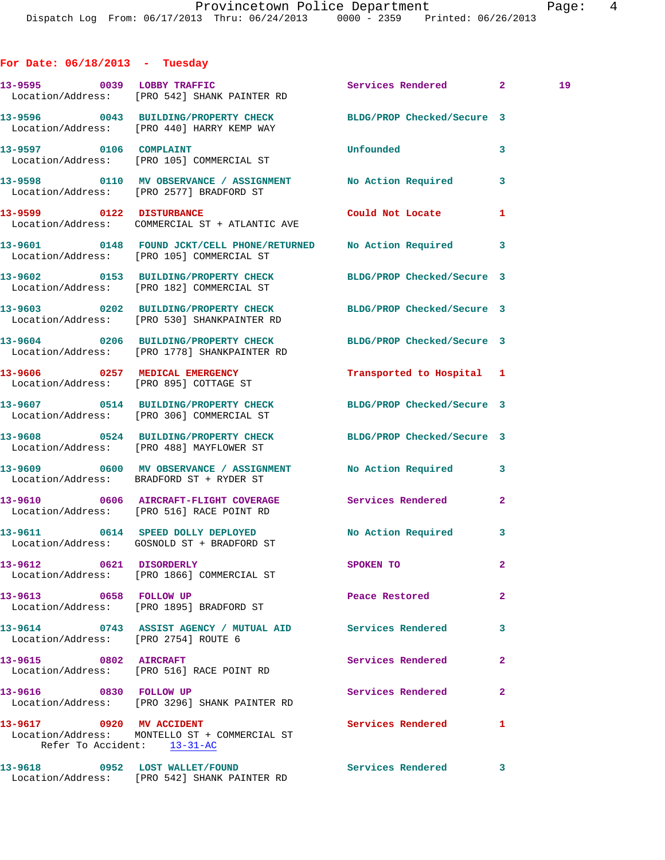| For Date: $06/18/2013$ - Tuesday                        |                                                                                                               |                            |              |    |
|---------------------------------------------------------|---------------------------------------------------------------------------------------------------------------|----------------------------|--------------|----|
|                                                         | 13-9595 0039 LOBBY TRAFFIC<br>Location/Address: [PRO 542] SHANK PAINTER RD                                    | Services Rendered 2        |              | 19 |
|                                                         | 13-9596 0043 BUILDING/PROPERTY CHECK BLDG/PROP Checked/Secure 3<br>Location/Address: [PRO 440] HARRY KEMP WAY |                            |              |    |
| 13-9597 0106 COMPLAINT                                  | Location/Address: [PRO 105] COMMERCIAL ST                                                                     | Unfounded                  | 3            |    |
|                                                         | 13-9598 0110 MV OBSERVANCE / ASSIGNMENT No Action Required 3<br>Location/Address: [PRO 2577] BRADFORD ST      |                            |              |    |
|                                                         | 13-9599 0122 DISTURBANCE<br>Location/Address: COMMERCIAL ST + ATLANTIC AVE                                    | Could Not Locate           | 1            |    |
|                                                         | 13-9601 0148 FOUND JCKT/CELL PHONE/RETURNED No Action Required 3<br>Location/Address: [PRO 105] COMMERCIAL ST |                            |              |    |
|                                                         | 13-9602 0153 BUILDING/PROPERTY CHECK<br>Location/Address: [PRO 182] COMMERCIAL ST                             | BLDG/PROP Checked/Secure 3 |              |    |
|                                                         | 13-9603 0202 BUILDING/PROPERTY CHECK<br>Location/Address: [PRO 530] SHANKPAINTER RD                           | BLDG/PROP Checked/Secure 3 |              |    |
|                                                         | 13-9604 0206 BUILDING/PROPERTY CHECK<br>Location/Address: [PRO 1778] SHANKPAINTER RD                          | BLDG/PROP Checked/Secure 3 |              |    |
| 13-9606 0257 MEDICAL EMERGENCY                          | Location/Address: [PRO 895] COTTAGE ST                                                                        | Transported to Hospital 1  |              |    |
|                                                         | 13-9607 0514 BUILDING/PROPERTY CHECK<br>Location/Address: [PRO 306] COMMERCIAL ST                             | BLDG/PROP Checked/Secure 3 |              |    |
|                                                         | 13-9608 0524 BUILDING/PROPERTY CHECK<br>Location/Address: [PRO 488] MAYFLOWER ST                              | BLDG/PROP Checked/Secure 3 |              |    |
|                                                         | 13-9609 0600 MV OBSERVANCE / ASSIGNMENT No Action Required 3<br>Location/Address: BRADFORD ST + RYDER ST      |                            |              |    |
|                                                         | 13-9610 0606 AIRCRAFT-FLIGHT COVERAGE Services Rendered<br>Location/Address: [PRO 516] RACE POINT RD          |                            | 2            |    |
| 13-9611                                                 | 0614 SPEED DOLLY DEPLOYED<br>Location/Address: GOSNOLD ST + BRADFORD ST                                       | No Action Required 3       |              |    |
| 13-9612 0621 DISORDERLY                                 | Location/Address: [PRO 1866] COMMERCIAL ST                                                                    | SPOKEN TO                  | $\mathbf{2}$ |    |
| 13-9613 0658 FOLLOW UP                                  | Location/Address: [PRO 1895] BRADFORD ST                                                                      | Peace Restored             | $\mathbf{2}$ |    |
| Location/Address: [PRO 2754] ROUTE 6                    | 13-9614 0743 ASSIST AGENCY / MUTUAL AID Services Rendered                                                     |                            | 3            |    |
| 13-9615 0802 AIRCRAFT                                   | Location/Address: [PRO 516] RACE POINT RD                                                                     | Services Rendered          | $\mathbf{2}$ |    |
| 13-9616 0830 FOLLOW UP                                  | Location/Address: [PRO 3296] SHANK PAINTER RD                                                                 | Services Rendered          | $\mathbf{2}$ |    |
| 13-9617 0920 MV ACCIDENT<br>Refer To Accident: 13-31-AC | Location/Address: MONTELLO ST + COMMERCIAL ST                                                                 | <b>Services Rendered</b>   | $\mathbf{1}$ |    |
| 13-9618 0952 LOST WALLET/FOUND                          |                                                                                                               | Services Rendered 3        |              |    |

Location/Address: [PRO 542] SHANK PAINTER RD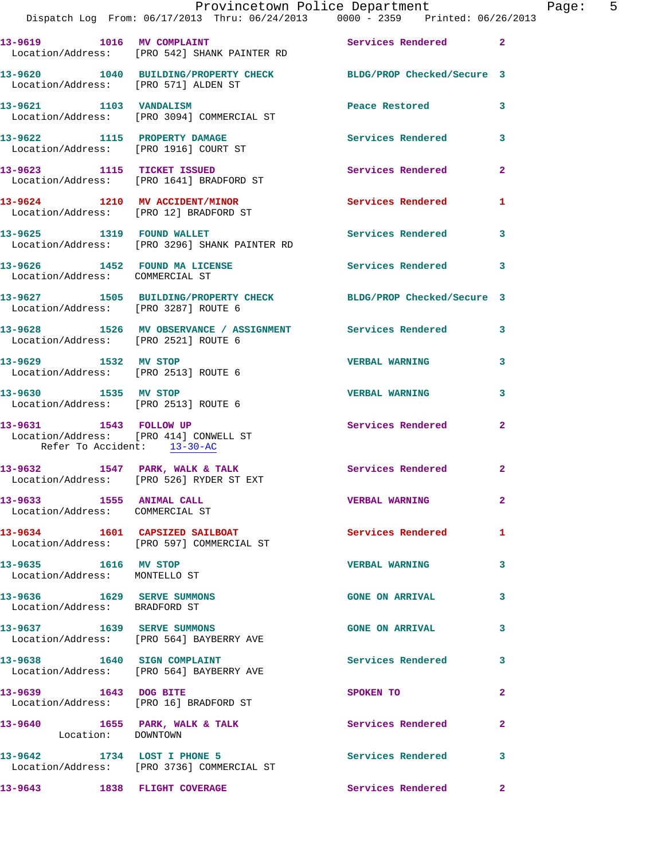|                                                                                                 | Provincetown Police Department The Page: 5<br>Dispatch Log From: 06/17/2013 Thru: 06/24/2013 0000 - 2359 Printed: 06/26/2013 |                        |                |
|-------------------------------------------------------------------------------------------------|------------------------------------------------------------------------------------------------------------------------------|------------------------|----------------|
|                                                                                                 | 13-9619 1016 MV COMPLAINT 100 Services Rendered 2<br>Location/Address: [PRO 542] SHANK PAINTER RD                            |                        |                |
| Location/Address: [PRO 571] ALDEN ST                                                            | 13-9620 1040 BUILDING/PROPERTY CHECK BLDG/PROP Checked/Secure 3                                                              |                        |                |
|                                                                                                 |                                                                                                                              | Peace Restored         | 3              |
|                                                                                                 | 13-9622 1115 PROPERTY DAMAGE Services Rendered 3<br>Location/Address: [PRO 1916] COURT ST                                    |                        |                |
|                                                                                                 | 13-9623 1115 TICKET ISSUED<br>Location/Address: [PRO 1641] BRADFORD ST                                                       | Services Rendered      | $\mathbf{2}$   |
|                                                                                                 | 13-9624 1210 MV ACCIDENT/MINOR<br>Location/Address: [PRO 12] BRADFORD ST                                                     | Services Rendered      | 1              |
|                                                                                                 | 13-9625 1319 FOUND WALLET<br>Location/Address: [PRO 3296] SHANK PAINTER RD                                                   | Services Rendered 3    |                |
| Location/Address: COMMERCIAL ST                                                                 | 13-9626 1452 FOUND MA LICENSE Services Rendered                                                                              |                        | 3              |
| Location/Address: [PRO 3287] ROUTE 6                                                            | 13-9627 1505 BUILDING/PROPERTY CHECK BLDG/PROP Checked/Secure 3                                                              |                        |                |
| Location/Address: [PRO 2521] ROUTE 6                                                            | 13-9628 1526 MV OBSERVANCE / ASSIGNMENT Services Rendered 3                                                                  |                        |                |
| 13-9629 1532 MV STOP                                                                            | Location/Address: [PRO 2513] ROUTE 6                                                                                         | <b>VERBAL WARNING</b>  | 3              |
| Location/Address: [PRO 2513] ROUTE 6                                                            | 13-9630 1535 MV STOP                                                                                                         | <b>VERBAL WARNING</b>  | 3              |
| 13-9631 1543 FOLLOW UP<br>Location/Address: [PRO 414] CONWELL ST<br>Refer To Accident: 13-30-AC |                                                                                                                              | Services Rendered      | $\mathbf{2}$   |
|                                                                                                 | 13-9632 1547 PARK, WALK & TALK<br>Location/Address: [PRO 526] RYDER ST EXT                                                   | Services Rendered      | 2              |
| 13-9633 1555 ANIMAL CALL<br>Location/Address: COMMERCIAL ST                                     |                                                                                                                              | <b>VERBAL WARNING</b>  | $\overline{2}$ |
|                                                                                                 | 13-9634 1601 CAPSIZED SAILBOAT<br>Location/Address: [PRO 597] COMMERCIAL ST                                                  | Services Rendered      | $\mathbf{1}$   |
| 13-9635 1616 MV STOP<br>Location/Address: MONTELLO ST                                           |                                                                                                                              | <b>VERBAL WARNING</b>  | 3              |
| 13-9636 1629 SERVE SUMMONS<br>Location/Address: BRADFORD ST                                     |                                                                                                                              | <b>GONE ON ARRIVAL</b> | 3              |
|                                                                                                 | 13-9637 1639 SERVE SUMMONS<br>Location/Address: [PRO 564] BAYBERRY AVE                                                       | <b>GONE ON ARRIVAL</b> | 3              |
|                                                                                                 | 13-9638 1640 SIGN COMPLAINT<br>Location/Address: [PRO 564] BAYBERRY AVE                                                      | Services Rendered      | 3              |
| 13-9639 1643 DOG BITE                                                                           | Location/Address: [PRO 16] BRADFORD ST                                                                                       | SPOKEN TO              | $\mathbf{2}$   |
| Location: DOWNTOWN                                                                              | 13-9640 1655 PARK, WALK & TALK                                                                                               | Services Rendered      | $\overline{2}$ |
|                                                                                                 | 13-9642 1734 LOST I PHONE 5<br>Location/Address: [PRO 3736] COMMERCIAL ST                                                    | Services Rendered      | 3              |
|                                                                                                 | 13-9643 1838 FLIGHT COVERAGE                                                                                                 | Services Rendered      | $\mathbf{2}$   |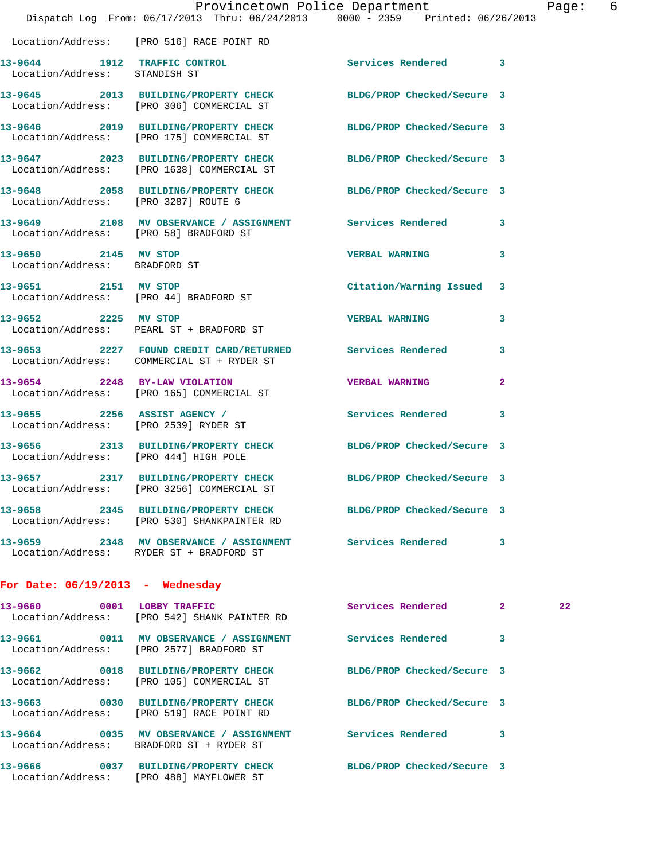|                                                       |                                                                            | Provincetown Police Department<br>Dispatch Log From: 06/17/2013 Thru: 06/24/2013 0000 - 2359 Printed: 06/26/2013 |                | Page: 6 |  |
|-------------------------------------------------------|----------------------------------------------------------------------------|------------------------------------------------------------------------------------------------------------------|----------------|---------|--|
|                                                       | Location/Address: [PRO 516] RACE POINT RD                                  |                                                                                                                  |                |         |  |
| Location/Address: STANDISH ST                         |                                                                            | 13-9644 1912 TRAFFIC CONTROL 1 Services Rendered 3                                                               |                |         |  |
|                                                       | Location/Address: [PRO 306] COMMERCIAL ST                                  | 13-9645 2013 BUILDING/PROPERTY CHECK BLDG/PROP Checked/Secure 3                                                  |                |         |  |
|                                                       |                                                                            | 13-9646 2019 BUILDING/PROPERTY CHECK BLDG/PROP Checked/Secure 3<br>Location/Address: [PRO 175] COMMERCIAL ST     |                |         |  |
|                                                       | Location/Address: [PRO 1638] COMMERCIAL ST                                 | 13-9647 2023 BUILDING/PROPERTY CHECK BLDG/PROP Checked/Secure 3                                                  |                |         |  |
|                                                       |                                                                            | 13-9648 2058 BUILDING/PROPERTY CHECK BLDG/PROP Checked/Secure 3<br>Location/Address: [PRO 3287] ROUTE 6          |                |         |  |
| Location/Address: [PRO 58] BRADFORD ST                |                                                                            | 13-9649 2108 MV OBSERVANCE / ASSIGNMENT Services Rendered                                                        | 3              |         |  |
| 13-9650 2145 MV STOP<br>Location/Address: BRADFORD ST |                                                                            | <b>VERBAL WARNING</b>                                                                                            | 3              |         |  |
|                                                       | 13-9651 2151 MV STOP<br>Location/Address: [PRO 44] BRADFORD ST             | Citation/Warning Issued 3                                                                                        |                |         |  |
| 13-9652 2225 MV STOP                                  | Location/Address: PEARL ST + BRADFORD ST                                   | <b>VERBAL WARNING</b>                                                                                            | 3              |         |  |
|                                                       | Location/Address: COMMERCIAL ST + RYDER ST                                 | 13-9653 2227 FOUND CREDIT CARD/RETURNED Services Rendered                                                        | 3              |         |  |
|                                                       | Location/Address: [PRO 165] COMMERCIAL ST                                  | 13-9654 2248 BY-LAW VIOLATION VERBAL WARNING                                                                     | $\overline{2}$ |         |  |
| Location/Address: [PRO 2539] RYDER ST                 |                                                                            | 13-9655 2256 ASSIST AGENCY / Services Rendered                                                                   | 3              |         |  |
| Location/Address: [PRO 444] HIGH POLE                 |                                                                            | 13-9656 2313 BUILDING/PROPERTY CHECK BLDG/PROP Checked/Secure 3                                                  |                |         |  |
|                                                       | Location/Address: [PRO 3256] COMMERCIAL ST                                 | 13-9657 2317 BUILDING/PROPERTY CHECK BLDG/PROP Checked/Secure 3                                                  |                |         |  |
|                                                       | Location/Address: [PRO 530] SHANKPAINTER RD                                | 13-9658 2345 BUILDING/PROPERTY CHECK BLDG/PROP Checked/Secure 3                                                  |                |         |  |
|                                                       | Location/Address: RYDER ST + BRADFORD ST                                   | 13-9659 2348 MV OBSERVANCE / ASSIGNMENT Services Rendered                                                        | 3              |         |  |
| For Date: $06/19/2013$ - Wednesday                    |                                                                            |                                                                                                                  |                |         |  |
|                                                       | 13-9660 0001 LOBBY TRAFFIC<br>Location/Address: [PRO 542] SHANK PAINTER RD | Services Rendered 2                                                                                              |                | 22      |  |
|                                                       | Location/Address: [PRO 2577] BRADFORD ST                                   | 13-9661 0011 MV OBSERVANCE / ASSIGNMENT Services Rendered 3                                                      |                |         |  |
|                                                       | Location/Address: [PRO 105] COMMERCIAL ST                                  | 13-9662 0018 BUILDING/PROPERTY CHECK BLDG/PROP Checked/Secure 3                                                  |                |         |  |
|                                                       | Location/Address: [PRO 519] RACE POINT RD                                  | 13-9663 0030 BUILDING/PROPERTY CHECK BLDG/PROP Checked/Secure 3                                                  |                |         |  |
|                                                       | Location/Address: BRADFORD ST + RYDER ST                                   | 13-9664 0035 MV OBSERVANCE / ASSIGNMENT Services Rendered                                                        | 3              |         |  |
|                                                       | Location/Address: [PRO 488] MAYFLOWER ST                                   | 13-9666 0037 BUILDING/PROPERTY CHECK BLDG/PROP Checked/Secure 3                                                  |                |         |  |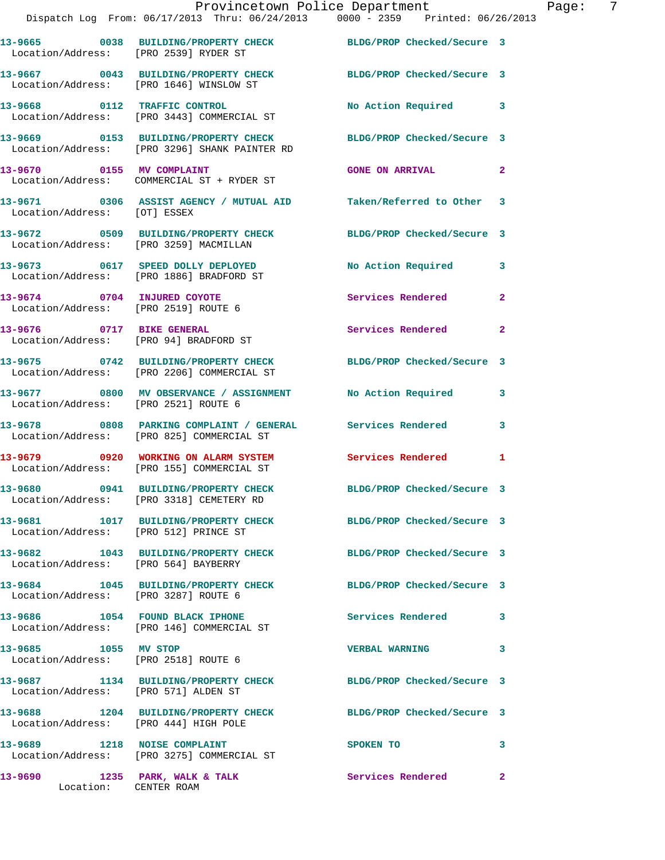|                                                                     | Provincetown Police Department<br>Dispatch Log From: 06/17/2013 Thru: 06/24/2013 0000 - 2359 Printed: 06/26/2013 |                            |              |
|---------------------------------------------------------------------|------------------------------------------------------------------------------------------------------------------|----------------------------|--------------|
| Location/Address: [PRO 2539] RYDER ST                               | 13-9665 0038 BUILDING/PROPERTY CHECK BLDG/PROP Checked/Secure 3                                                  |                            |              |
|                                                                     | 13-9667 0043 BUILDING/PROPERTY CHECK<br>Location/Address: [PRO 1646] WINSLOW ST                                  | BLDG/PROP Checked/Secure 3 |              |
|                                                                     | 13-9668 0112 TRAFFIC CONTROL<br>Location/Address: [PRO 3443] COMMERCIAL ST                                       | No Action Required         | 3            |
|                                                                     | 13-9669 0153 BUILDING/PROPERTY CHECK BLDG/PROP Checked/Secure 3<br>Location/Address: [PRO 3296] SHANK PAINTER RD |                            |              |
|                                                                     | 13-9670 0155 MV COMPLAINT<br>Location/Address: COMMERCIAL ST + RYDER ST                                          | <b>GONE ON ARRIVAL</b>     | 2            |
| Location/Address: [OT] ESSEX                                        | 13-9671 0306 ASSIST AGENCY / MUTUAL AID Taken/Referred to Other                                                  |                            | 3            |
|                                                                     | 13-9672 0509 BUILDING/PROPERTY CHECK BLDG/PROP Checked/Secure 3<br>Location/Address: [PRO 3259] MACMILLAN        |                            |              |
|                                                                     | 13-9673 0617 SPEED DOLLY DEPLOYED<br>Location/Address: [PRO 1886] BRADFORD ST                                    | No Action Required         | 3            |
| 13-9674 0704 INJURED COYOTE<br>Location/Address: [PRO 2519] ROUTE 6 |                                                                                                                  | Services Rendered          | $\mathbf{2}$ |
| 13-9676 0717 BIKE GENERAL                                           | Location/Address: [PRO 94] BRADFORD ST                                                                           | Services Rendered          | $\mathbf{2}$ |
|                                                                     | 13-9675 0742 BUILDING/PROPERTY CHECK BLDG/PROP Checked/Secure 3<br>Location/Address: [PRO 2206] COMMERCIAL ST    |                            |              |
|                                                                     | 13-9677 0800 MV OBSERVANCE / ASSIGNMENT No Action Required<br>Location/Address: [PRO 2521] ROUTE 6               |                            | 3            |
|                                                                     | 13-9678 0808 PARKING COMPLAINT / GENERAL Services Rendered<br>Location/Address: [PRO 825] COMMERCIAL ST          |                            | 3            |
|                                                                     | 13-9679 0920 WORKING ON ALARM SYSTEM Services Rendered<br>Location/Address: [PRO 155] COMMERCIAL ST              |                            | 1            |
|                                                                     | 13-9680 0941 BUILDING/PROPERTY CHECK<br>Location/Address: [PRO 3318] CEMETERY RD                                 | BLDG/PROP Checked/Secure 3 |              |
| Location/Address: [PRO 512] PRINCE ST                               | 13-9681 1017 BUILDING/PROPERTY CHECK BLDG/PROP Checked/Secure 3                                                  |                            |              |
| Location/Address: [PRO 564] BAYBERRY                                | 13-9682 1043 BUILDING/PROPERTY CHECK BLDG/PROP Checked/Secure 3                                                  |                            |              |
| Location/Address: [PRO 3287] ROUTE 6                                | 13-9684 1045 BUILDING/PROPERTY CHECK BLDG/PROP Checked/Secure 3                                                  |                            |              |
|                                                                     | 13-9686 1054 FOUND BLACK IPHONE<br>Location/Address: [PRO 146] COMMERCIAL ST                                     | <b>Services Rendered</b>   | 3            |
| 13-9685 1055 MV STOP<br>Location/Address: [PRO 2518] ROUTE 6        |                                                                                                                  | <b>VERBAL WARNING</b>      | 3            |
| Location/Address: [PRO 571] ALDEN ST                                | 13-9687 1134 BUILDING/PROPERTY CHECK                                                                             | BLDG/PROP Checked/Secure 3 |              |
| Location/Address: [PRO 444] HIGH POLE                               | 13-9688 1204 BUILDING/PROPERTY CHECK                                                                             | BLDG/PROP Checked/Secure 3 |              |
|                                                                     | 13-9689 1218 NOISE COMPLAINT<br>Location/Address: [PRO 3275] COMMERCIAL ST                                       | <b>SPOKEN TO</b>           | 3            |
| 13-9690 1235 PARK, WALK & TALK                                      | Location: CENTER ROAM                                                                                            | Services Rendered          | 2            |

Page: 7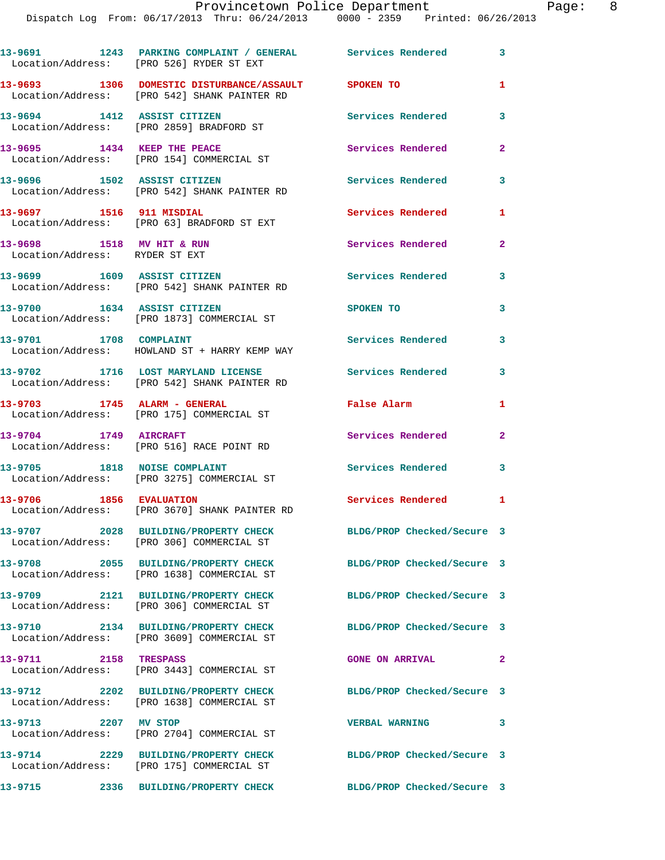|                                                             | 13-9691 1243 PARKING COMPLAINT / GENERAL Services Rendered 3<br>Location/Address: [PRO 526] RYDER ST EXT |                            |                |
|-------------------------------------------------------------|----------------------------------------------------------------------------------------------------------|----------------------------|----------------|
|                                                             | 13-9693 1306 DOMESTIC DISTURBANCE/ASSAULT SPOKEN TO<br>Location/Address: [PRO 542] SHANK PAINTER RD      |                            | 1              |
| 13-9694 1412 ASSIST CITIZEN                                 | Location/Address: [PRO 2859] BRADFORD ST                                                                 | <b>Services Rendered</b>   | 3              |
|                                                             | 13-9695 1434 KEEP THE PEACE<br>Location/Address: [PRO 154] COMMERCIAL ST                                 | Services Rendered          | $\overline{2}$ |
| 13-9696 1502 ASSIST CITIZEN                                 | Location/Address: [PRO 542] SHANK PAINTER RD                                                             | <b>Services Rendered</b>   | 3              |
| 13-9697 1516 911 MISDIAL                                    | Location/Address: [PRO 63] BRADFORD ST EXT                                                               | Services Rendered          | $\mathbf{1}$   |
| 13-9698 1518 MV HIT & RUN<br>Location/Address: RYDER ST EXT |                                                                                                          | <b>Services Rendered</b>   | $\mathbf{2}$   |
|                                                             | 13-9699 1609 ASSIST CITIZEN<br>Location/Address: [PRO 542] SHANK PAINTER RD                              | <b>Services Rendered</b>   | 3              |
| 13-9700 1634 ASSIST CITIZEN                                 | Location/Address: [PRO 1873] COMMERCIAL ST                                                               | SPOKEN TO                  | 3              |
| 13-9701 1708 COMPLAINT                                      | Location/Address: HOWLAND ST + HARRY KEMP WAY                                                            | Services Rendered          | 3              |
|                                                             | 13-9702 1716 LOST MARYLAND LICENSE<br>Location/Address: [PRO 542] SHANK PAINTER RD                       | Services Rendered          | 3              |
| 13-9703 1745 ALARM - GENERAL                                | Location/Address: [PRO 175] COMMERCIAL ST                                                                | False Alarm                | 1              |
|                                                             | 13-9704 1749 AIRCRAFT<br>Location/Address: [PRO 516] RACE POINT RD                                       | Services Rendered          | $\overline{2}$ |
| 13-9705 1818 NOISE COMPLAINT                                | Location/Address: [PRO 3275] COMMERCIAL ST                                                               | Services Rendered          | 3              |
| 13-9706 1856 EVALUATION                                     | Location/Address: [PRO 3670] SHANK PAINTER RD                                                            | <b>Services Rendered</b> 1 |                |
|                                                             | 13-9707 2028 BUILDING/PROPERTY CHECK<br>Location/Address: [PRO 306] COMMERCIAL ST                        | BLDG/PROP Checked/Secure 3 |                |
|                                                             | 13-9708 2055 BUILDING/PROPERTY CHECK<br>Location/Address: [PRO 1638] COMMERCIAL ST                       | BLDG/PROP Checked/Secure 3 |                |
|                                                             | 13-9709 2121 BUILDING/PROPERTY CHECK<br>Location/Address: [PRO 306] COMMERCIAL ST                        | BLDG/PROP Checked/Secure 3 |                |
|                                                             | 13-9710 2134 BUILDING/PROPERTY CHECK<br>Location/Address: [PRO 3609] COMMERCIAL ST                       | BLDG/PROP Checked/Secure 3 |                |
| 13-9711 2158 TRESPASS                                       | Location/Address: [PRO 3443] COMMERCIAL ST                                                               | <b>GONE ON ARRIVAL</b>     | $\mathbf{2}$   |
|                                                             | 13-9712 2202 BUILDING/PROPERTY CHECK<br>Location/Address: [PRO 1638] COMMERCIAL ST                       | BLDG/PROP Checked/Secure 3 |                |
| 13-9713 2207 MV STOP                                        | Location/Address: [PRO 2704] COMMERCIAL ST                                                               | <b>VERBAL WARNING</b>      | 3              |
|                                                             | 13-9714 2229 BUILDING/PROPERTY CHECK<br>Location/Address: [PRO 175] COMMERCIAL ST                        | BLDG/PROP Checked/Secure 3 |                |
|                                                             |                                                                                                          | BLDG/PROP Checked/Secure 3 |                |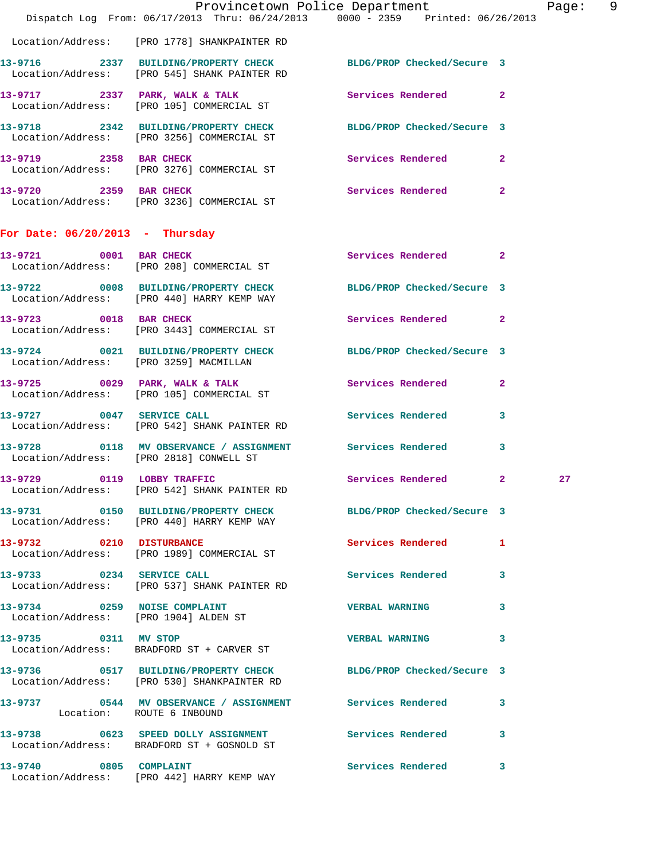|                                         | Provincetown Police Department<br>Dispatch Log From: 06/17/2013 Thru: 06/24/2013 0000 - 2359 Printed: 06/26/2013 |                       |              | Page: 9 |  |
|-----------------------------------------|------------------------------------------------------------------------------------------------------------------|-----------------------|--------------|---------|--|
|                                         | Location/Address: [PRO 1778] SHANKPAINTER RD                                                                     |                       |              |         |  |
|                                         | 13-9716 2337 BUILDING/PROPERTY CHECK BLDG/PROP Checked/Secure 3<br>Location/Address: [PRO 545] SHANK PAINTER RD  |                       |              |         |  |
|                                         | 13-9717 2337 PARK, WALK & TALK<br>Location/Address: [PRO 105] COMMERCIAL ST                                      | Services Rendered 2   |              |         |  |
|                                         | 13-9718 2342 BUILDING/PROPERTY CHECK BLDG/PROP Checked/Secure 3<br>Location/Address: [PRO 3256] COMMERCIAL ST    |                       |              |         |  |
|                                         | 13-9719 2358 BAR CHECK<br>Location/Address: [PRO 3276] COMMERCIAL ST                                             | Services Rendered 2   |              |         |  |
|                                         | 13-9720 2359 BAR CHECK<br>Location/Address: [PRO 3236] COMMERCIAL ST                                             | Services Rendered 2   |              |         |  |
| For Date: $06/20/2013$ - Thursday       |                                                                                                                  |                       |              |         |  |
| 13-9721 0001 BAR CHECK                  | Location/Address: [PRO 208] COMMERCIAL ST                                                                        | Services Rendered 2   |              |         |  |
|                                         | 13-9722 0008 BUILDING/PROPERTY CHECK BLDG/PROP Checked/Secure 3<br>Location/Address: [PRO 440] HARRY KEMP WAY    |                       |              |         |  |
|                                         | 13-9723 0018 BAR CHECK<br>Location/Address: [PRO 3443] COMMERCIAL ST                                             | Services Rendered 2   |              |         |  |
|                                         | 13-9724 0021 BUILDING/PROPERTY CHECK BLDG/PROP Checked/Secure 3<br>Location/Address: [PRO 3259] MACMILLAN        |                       |              |         |  |
|                                         | $13-9725$ 0029 PARK, WALK & TALK<br>Location/Address: [PRO 105] COMMERCIAL ST                                    | Services Rendered     | $\mathbf{2}$ |         |  |
|                                         | 13-9727 0047 SERVICE CALL<br>Location/Address: [PRO 542] SHANK PAINTER RD                                        | Services Rendered 3   |              |         |  |
| Location/Address: [PRO 2818] CONWELL ST | 13-9728 0118 MV OBSERVANCE / ASSIGNMENT Services Rendered                                                        |                       | 3            |         |  |
| 13-9729                                 | 0119 LOBBY TRAFFIC<br>Location/Address: [PRO 542] SHANK PAINTER RD                                               | Services Rendered 2   |              | 27      |  |
|                                         | 13-9731 0150 BUILDING/PROPERTY CHECK BLDG/PROP Checked/Secure 3<br>Location/Address: [PRO 440] HARRY KEMP WAY    |                       |              |         |  |
|                                         | 13-9732 0210 DISTURBANCE<br>Location/Address: [PRO 1989] COMMERCIAL ST                                           | Services Rendered 1   |              |         |  |
| 13-9733 0234 SERVICE CALL               | Location/Address: [PRO 537] SHANK PAINTER RD                                                                     | Services Rendered 3   |              |         |  |
| 13-9734 0259 NOISE COMPLAINT            | Location/Address: [PRO 1904] ALDEN ST                                                                            | <b>VERBAL WARNING</b> | $\mathbf{3}$ |         |  |
| 13-9735 0311 MV STOP                    | Location/Address: BRADFORD ST + CARVER ST                                                                        | <b>VERBAL WARNING</b> | 3            |         |  |
|                                         | 13-9736 0517 BUILDING/PROPERTY CHECK BLDG/PROP Checked/Secure 3<br>Location/Address: [PRO 530] SHANKPAINTER RD   |                       |              |         |  |
| Location: ROUTE 6 INBOUND               | 13-9737 0544 MV OBSERVANCE / ASSIGNMENT Services Rendered 3                                                      |                       |              |         |  |
|                                         | 13-9738 0623 SPEED DOLLY ASSIGNMENT Services Rendered 3<br>Location/Address: BRADFORD ST + GOSNOLD ST            |                       |              |         |  |
|                                         | 13-9740 0805 COMPLAINT<br>Location/Address: [PRO 442] HARRY KEMP WAY                                             | Services Rendered 3   |              |         |  |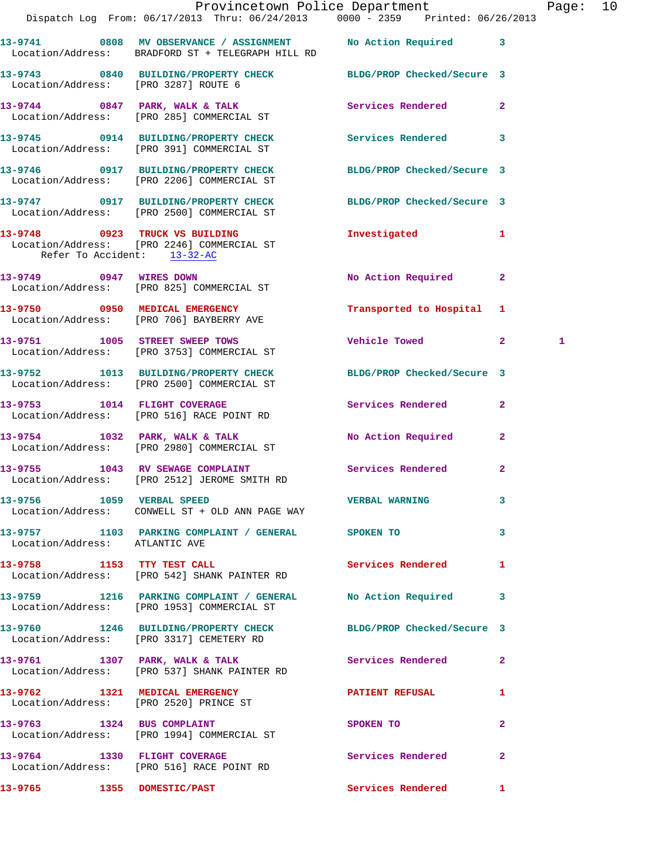|                                |                                                                                                                   | Provincetown Police Department |              | Page: 10 |  |
|--------------------------------|-------------------------------------------------------------------------------------------------------------------|--------------------------------|--------------|----------|--|
|                                | Dispatch Log From: 06/17/2013 Thru: 06/24/2013 0000 - 2359 Printed: 06/26/2013                                    |                                |              |          |  |
|                                | 13-9741 0808 MV OBSERVANCE / ASSIGNMENT No Action Required 3<br>Location/Address: BRADFORD ST + TELEGRAPH HILL RD |                                |              |          |  |
|                                | 13-9743 0840 BUILDING/PROPERTY CHECK BLDG/PROP Checked/Secure 3<br>Location/Address: [PRO 3287] ROUTE 6           |                                |              |          |  |
|                                | 13-9744 0847 PARK, WALK & TALK<br>Location/Address: [PRO 285] COMMERCIAL ST                                       | Services Rendered 2            |              |          |  |
|                                | 13-9745 0914 BUILDING/PROPERTY CHECK Services Rendered 3<br>Location/Address: [PRO 391] COMMERCIAL ST             |                                |              |          |  |
|                                | 13-9746 0917 BUILDING/PROPERTY CHECK BLDG/PROP Checked/Secure 3<br>Location/Address: [PRO 2206] COMMERCIAL ST     |                                |              |          |  |
|                                | 13-9747 0917 BUILDING/PROPERTY CHECK BLDG/PROP Checked/Secure 3<br>Location/Address: [PRO 2500] COMMERCIAL ST     |                                |              |          |  |
| Refer To Accident: 13-32-AC    | 13-9748 0923 TRUCK VS BUILDING<br>Location/Address: [PRO 2246] COMMERCIAL ST                                      | Investigated 1                 |              |          |  |
|                                | 13-9749 0947 WIRES DOWN<br>Location/Address: [PRO 825] COMMERCIAL ST                                              | No Action Required 2           |              |          |  |
|                                | 13-9750 0950 MEDICAL EMERGENCY<br>Location/Address: [PRO 706] BAYBERRY AVE                                        | Transported to Hospital 1      |              |          |  |
|                                | 13-9751 1005 STREET SWEEP TOWS<br>Location/Address: [PRO 3753] COMMERCIAL ST                                      | Vehicle Towed 2                | 1            |          |  |
|                                | 13-9752 1013 BUILDING/PROPERTY CHECK BLDG/PROP Checked/Secure 3<br>Location/Address: [PRO 2500] COMMERCIAL ST     |                                |              |          |  |
|                                | 13-9753 1014 FLIGHT COVERAGE<br>Location/Address: [PRO 516] RACE POINT RD                                         | Services Rendered 2            |              |          |  |
|                                | 13-9754 1032 PARK, WALK & TALK<br>Location/Address: [PRO 2980] COMMERCIAL ST                                      | No Action Required             | $\mathbf{2}$ |          |  |
|                                | 13-9755 1043 RV SEWAGE COMPLAINT Services Rendered 2<br>Location/Address: [PRO 2512] JEROME SMITH RD              |                                |              |          |  |
| 13-9756 1059 VERBAL SPEED      | Location/Address: CONWELL ST + OLD ANN PAGE WAY                                                                   | VERBAL WARNING 3               |              |          |  |
| Location/Address: ATLANTIC AVE | 13-9757 1103 PARKING COMPLAINT / GENERAL SPOKEN TO                                                                | $\sim$ 3                       |              |          |  |
|                                | 13-9758 1153 TTY TEST CALL Services Rendered 1<br>Location/Address: [PRO 542] SHANK PAINTER RD                    |                                |              |          |  |
|                                | 13-9759 1216 PARKING COMPLAINT / GENERAL No Action Required 3<br>Location/Address: [PRO 1953] COMMERCIAL ST       |                                |              |          |  |
|                                | 13-9760 1246 BUILDING/PROPERTY CHECK BLDG/PROP Checked/Secure 3<br>Location/Address: [PRO 3317] CEMETERY RD       |                                |              |          |  |
|                                | 13-9761 1307 PARK, WALK & TALK<br>Location/Address: [PRO 537] SHANK PAINTER RD                                    | Services Rendered 2            |              |          |  |
|                                | 13-9762 1321 MEDICAL EMERGENCY PATIENT REFUSAL<br>Location/Address: [PRO 2520] PRINCE ST                          |                                | $\mathbf{1}$ |          |  |
|                                | 13-9763 1324 BUS COMPLAINT<br>Location/Address: [PRO 1994] COMMERCIAL ST                                          | SPOKEN TO                      | $\mathbf{2}$ |          |  |
|                                | 13-9764 1330 FLIGHT COVERAGE<br>Location/Address: [PRO 516] RACE POINT RD                                         | Services Rendered              | $\mathbf{2}$ |          |  |
| 13-9765 1355 DOMESTIC/PAST     |                                                                                                                   | Services Rendered 1            |              |          |  |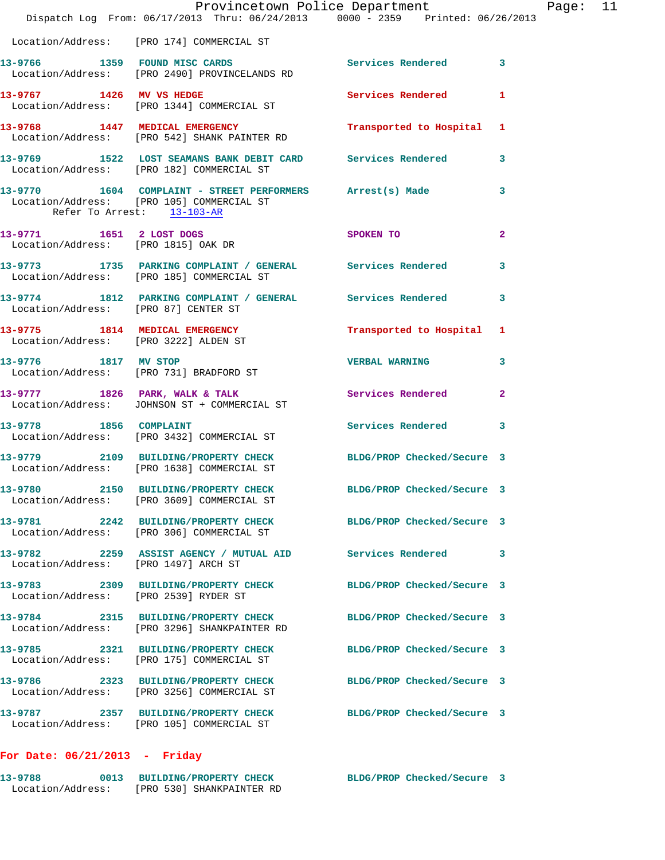|                                                                 | Dispatch Log From: 06/17/2013 Thru: 06/24/2013 0000 - 2359 Printed: 06/26/2013                                  | Provincetown Police Department Page: 11 |              |  |
|-----------------------------------------------------------------|-----------------------------------------------------------------------------------------------------------------|-----------------------------------------|--------------|--|
|                                                                 |                                                                                                                 |                                         |              |  |
|                                                                 | Location/Address: [PRO 174] COMMERCIAL ST                                                                       |                                         |              |  |
|                                                                 | 13-9766 1359 FOUND MISC CARDS Services Rendered 3<br>Location/Address: [PRO 2490] PROVINCELANDS RD              |                                         |              |  |
|                                                                 | 13-9767 1426 MV VS HEDGE<br>Location/Address: [PRO 1344] COMMERCIAL ST                                          | <b>Services Rendered</b>                | -1           |  |
|                                                                 | 13-9768 1447 MEDICAL EMERGENCY Transported to Hospital 1<br>Location/Address: [PRO 542] SHANK PAINTER RD        |                                         |              |  |
|                                                                 | 13-9769 1522 LOST SEAMANS BANK DEBIT CARD Services Rendered 3<br>Location/Address: [PRO 182] COMMERCIAL ST      |                                         |              |  |
| Refer To Arrest: 13-103-AR                                      | 13-9770 1604 COMPLAINT - STREET PERFORMERS Arrest(s) Made<br>Location/Address: [PRO 105] COMMERCIAL ST          |                                         | 3            |  |
| 13-9771 1651 2 LOST DOGS<br>Location/Address: [PRO 1815] OAK DR |                                                                                                                 | SPOKEN TO                               | $\mathbf{2}$ |  |
|                                                                 | 13-9773 1735 PARKING COMPLAINT / GENERAL Services Rendered<br>Location/Address: [PRO 185] COMMERCIAL ST         |                                         | 3            |  |
| Location/Address: [PRO 87] CENTER ST                            | 13-9774 1812 PARKING COMPLAINT / GENERAL Services Rendered 3                                                    |                                         |              |  |
| Location/Address: [PRO 3222] ALDEN ST                           | 13-9775 1814 MEDICAL EMERGENCY Transported to Hospital 1                                                        |                                         |              |  |
| 13-9776 1817 MV STOP                                            | Location/Address: [PRO 731] BRADFORD ST                                                                         | <b>VERBAL WARNING 3</b>                 |              |  |
|                                                                 | 13-9777 1826 PARK, WALK & TALK Services Rendered<br>Location/Address: JOHNSON ST + COMMERCIAL ST                |                                         | $\mathbf{2}$ |  |
| 13-9778 1856 COMPLAINT                                          | Location/Address: [PRO 3432] COMMERCIAL ST                                                                      | Services Rendered 3                     |              |  |
|                                                                 | 13-9779 2109 BUILDING/PROPERTY CHECK BLDG/PROP Checked/Secure 3<br>Location/Address: [PRO 1638] COMMERCIAL ST   |                                         |              |  |
|                                                                 | 13-9780 2150 BUILDING/PROPERTY CHECK<br>Location/Address: [PRO 3609] COMMERCIAL ST                              | BLDG/PROP Checked/Secure 3              |              |  |
|                                                                 | 13-9781 2242 BUILDING/PROPERTY CHECK BLDG/PROP Checked/Secure 3<br>Location/Address: [PRO 306] COMMERCIAL ST    |                                         |              |  |
| Location/Address: [PRO 1497] ARCH ST                            | 13-9782 2259 ASSIST AGENCY / MUTUAL AID Services Rendered                                                       |                                         | 3            |  |
| Location/Address: [PRO 2539] RYDER ST                           | 13-9783 2309 BUILDING/PROPERTY CHECK BLDG/PROP Checked/Secure 3                                                 |                                         |              |  |
|                                                                 | 13-9784 2315 BUILDING/PROPERTY CHECK BLDG/PROP Checked/Secure 3<br>Location/Address: [PRO 3296] SHANKPAINTER RD |                                         |              |  |
|                                                                 | 13-9785 2321 BUILDING/PROPERTY CHECK<br>Location/Address: [PRO 175] COMMERCIAL ST                               | BLDG/PROP Checked/Secure 3              |              |  |
|                                                                 | 13-9786 2323 BUILDING/PROPERTY CHECK BLDG/PROP Checked/Secure 3<br>Location/Address: [PRO 3256] COMMERCIAL ST   |                                         |              |  |
|                                                                 | 13-9787 2357 BUILDING/PROPERTY CHECK<br>Location/Address: [PRO 105] COMMERCIAL ST                               | BLDG/PROP Checked/Secure 3              |              |  |
|                                                                 |                                                                                                                 |                                         |              |  |

## **For Date: 06/21/2013 - Friday**

| 13-9788           | 0013 BUILDING/PROPERTY CHECK |  | BLDG/PROP Checked/Secure 3 |  |
|-------------------|------------------------------|--|----------------------------|--|
| Location/Address: | [PRO 530] SHANKPAINTER RD    |  |                            |  |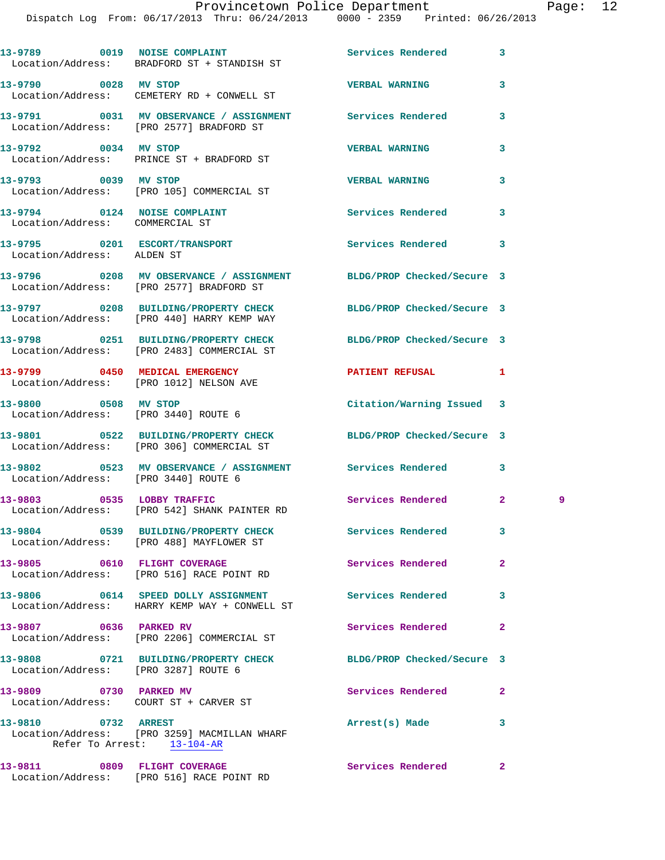|                                                                 | 13-9789 0019 NOISE COMPLAINT<br>Location/Address: BRADFORD ST + STANDISH ST                                    | <b>Services Rendered</b>   | 3              |   |
|-----------------------------------------------------------------|----------------------------------------------------------------------------------------------------------------|----------------------------|----------------|---|
| 13-9790 0028 MV STOP                                            | Location/Address: CEMETERY RD + CONWELL ST                                                                     | <b>VERBAL WARNING</b>      | 3              |   |
|                                                                 | 13-9791 0031 MV OBSERVANCE / ASSIGNMENT Services Rendered<br>Location/Address: [PRO 2577] BRADFORD ST          |                            | 3              |   |
| 13-9792 0034 MV STOP                                            | Location/Address: PRINCE ST + BRADFORD ST                                                                      | <b>VERBAL WARNING</b>      | 3              |   |
| 13-9793 0039 MV STOP                                            | Location/Address: [PRO 105] COMMERCIAL ST                                                                      | <b>VERBAL WARNING</b>      | 3              |   |
| 13-9794 0124 NOISE COMPLAINT<br>Location/Address: COMMERCIAL ST |                                                                                                                | Services Rendered          | 3              |   |
| Location/Address: ALDEN ST                                      | 13-9795 0201 ESCORT/TRANSPORT                                                                                  | Services Rendered          | 3              |   |
|                                                                 | 13-9796 0208 MV OBSERVANCE / ASSIGNMENT BLDG/PROP Checked/Secure 3<br>Location/Address: [PRO 2577] BRADFORD ST |                            |                |   |
|                                                                 | 13-9797 0208 BUILDING/PROPERTY CHECK BLDG/PROP Checked/Secure 3<br>Location/Address: [PRO 440] HARRY KEMP WAY  |                            |                |   |
|                                                                 | 13-9798 0251 BUILDING/PROPERTY CHECK<br>Location/Address: [PRO 2483] COMMERCIAL ST                             | BLDG/PROP Checked/Secure 3 |                |   |
|                                                                 | 13-9799 0450 MEDICAL EMERGENCY<br>Location/Address: [PRO 1012] NELSON AVE                                      | PATIENT REFUSAL            | 1              |   |
| 13-9800 0508 MV STOP<br>Location/Address: [PRO 3440] ROUTE 6    |                                                                                                                | Citation/Warning Issued 3  |                |   |
|                                                                 | 13-9801 0522 BUILDING/PROPERTY CHECK<br>Location/Address: [PRO 306] COMMERCIAL ST                              | BLDG/PROP Checked/Secure 3 |                |   |
| Location/Address: [PRO 3440] ROUTE 6                            | 13-9802 0523 MV OBSERVANCE / ASSIGNMENT Services Rendered                                                      |                            | 3              |   |
|                                                                 | 13-9803 0535 LOBBY TRAFFIC<br>Location/Address: [PRO 542] SHANK PAINTER RD                                     | Services Rendered          | $\mathbf{2}$   | 9 |
|                                                                 | 13-9804 0539 BUILDING/PROPERTY CHECK<br>Location/Address: [PRO 488] MAYFLOWER ST                               | Services Rendered          | 3              |   |
|                                                                 | 13-9805 0610 FLIGHT COVERAGE<br>Location/Address: [PRO 516] RACE POINT RD                                      | Services Rendered          | $\overline{a}$ |   |
|                                                                 | 13-9806 0614 SPEED DOLLY ASSIGNMENT<br>Location/Address: HARRY KEMP WAY + CONWELL ST                           | <b>Services Rendered</b>   | 3              |   |
| 13-9807 0636 PARKED RV                                          | Location/Address: [PRO 2206] COMMERCIAL ST                                                                     | Services Rendered          | $\overline{a}$ |   |
| Location/Address: [PRO 3287] ROUTE 6                            | 13-9808 0721 BUILDING/PROPERTY CHECK                                                                           | BLDG/PROP Checked/Secure 3 |                |   |
| 13-9809 0730 PARKED MV                                          |                                                                                                                | Services Rendered          | $\mathbf{2}$   |   |
| 13-9810 0732 ARREST                                             | Location/Address: [PRO 3259] MACMILLAN WHARF<br>Refer To Arrest: 13-104-AR                                     | Arrest(s) Made             | 3              |   |
| 13-9811 0809 FLIGHT COVERAGE                                    |                                                                                                                | Services Rendered          | $\mathbf{2}$   |   |

Location/Address: [PRO 516] RACE POINT RD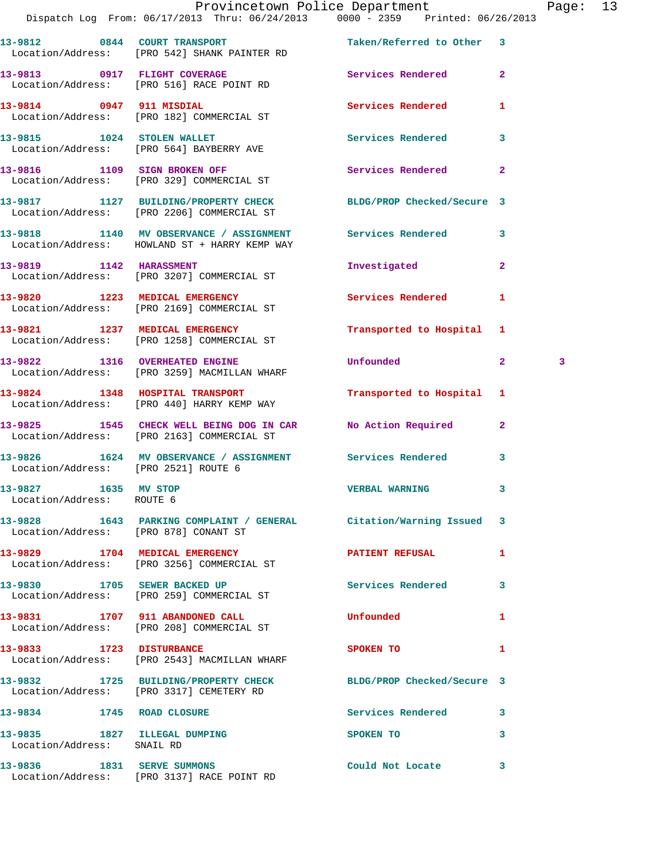|                                                            | Provincetown Police Department<br>Dispatch Log From: 06/17/2013 Thru: 06/24/2013 0000 - 2359 Printed: 06/26/2013 |                           |              | Page: 13 |  |
|------------------------------------------------------------|------------------------------------------------------------------------------------------------------------------|---------------------------|--------------|----------|--|
|                                                            | 13-9812 0844 COURT TRANSPORT<br>Location/Address: [PRO 542] SHANK PAINTER RD                                     | Taken/Referred to Other 3 |              |          |  |
|                                                            | 13-9813 0917 FLIGHT COVERAGE<br>Location/Address: [PRO 516] RACE POINT RD                                        | Services Rendered 2       |              |          |  |
|                                                            | 13-9814 0947 911 MISDIAL<br>Location/Address: [PRO 182] COMMERCIAL ST                                            | <b>Services Rendered</b>  | 1            |          |  |
|                                                            | 13-9815 1024 STOLEN WALLET<br>Location/Address: [PRO 564] BAYBERRY AVE                                           | Services Rendered 3       |              |          |  |
|                                                            | 13-9816 1109 SIGN BROKEN OFF<br>Location/Address: [PRO 329] COMMERCIAL ST                                        | Services Rendered         | $\mathbf{2}$ |          |  |
|                                                            | 13-9817 1127 BUILDING/PROPERTY CHECK BLDG/PROP Checked/Secure 3<br>Location/Address: [PRO 2206] COMMERCIAL ST    |                           |              |          |  |
|                                                            | 13-9818 1140 MV OBSERVANCE / ASSIGNMENT Services Rendered 3<br>Location/Address: HOWLAND ST + HARRY KEMP WAY     |                           |              |          |  |
|                                                            | 13-9819 1142 HARASSMENT<br>Location/Address: [PRO 3207] COMMERCIAL ST                                            | Investigated              | $\mathbf{2}$ |          |  |
|                                                            | 13-9820 1223 MEDICAL EMERGENCY<br>Location/Address: [PRO 2169] COMMERCIAL ST                                     | Services Rendered 1       |              |          |  |
|                                                            | 13-9821 1237 MEDICAL EMERGENCY<br>Location/Address: [PRO 1258] COMMERCIAL ST                                     | Transported to Hospital 1 |              |          |  |
|                                                            | 13-9822 1316 OVERHEATED ENGINE<br>Location/Address: [PRO 3259] MACMILLAN WHARF                                   | <b>Unfounded</b>          | $\mathbf{2}$ | 3        |  |
|                                                            | 13-9824 1348 HOSPITAL TRANSPORT<br>Location/Address: [PRO 440] HARRY KEMP WAY                                    | Transported to Hospital 1 |              |          |  |
|                                                            | 13-9825 1545 CHECK WELL BEING DOG IN CAR No Action Required 2<br>Location/Address: [PRO 2163] COMMERCIAL ST      |                           |              |          |  |
| Location/Address: [PRO 2521] ROUTE 6                       | 13-9826 1624 MV OBSERVANCE / ASSIGNMENT Services Rendered                                                        |                           | $\mathbf{3}$ |          |  |
| 13-9827 1635 MV STOP<br>Location/Address: ROUTE 6          |                                                                                                                  | <b>VERBAL WARNING</b>     |              |          |  |
|                                                            | 13-9828 1643 PARKING COMPLAINT / GENERAL Citation/Warning Issued 3<br>Location/Address: [PRO 878] CONANT ST      |                           |              |          |  |
|                                                            | 13-9829 1704 MEDICAL EMERGENCY NEWSPATIENT REFUSAL<br>Location/Address: [PRO 3256] COMMERCIAL ST                 |                           | 1            |          |  |
|                                                            | 13-9830 1705 SEWER BACKED UP Services Rendered 3<br>Location/Address: [PRO 259] COMMERCIAL ST                    |                           |              |          |  |
|                                                            | 13-9831 1707 911 ABANDONED CALL<br>Location/Address: [PRO 208] COMMERCIAL ST                                     | Unfounded                 | $\mathbf{1}$ |          |  |
|                                                            | 13-9833 1723 DISTURBANCE<br>Location/Address: [PRO 2543] MACMILLAN WHARF                                         | SPOKEN TO                 | 1            |          |  |
|                                                            | 13-9832 1725 BUILDING/PROPERTY CHECK BLDG/PROP Checked/Secure 3<br>Location/Address: [PRO 3317] CEMETERY RD      |                           |              |          |  |
| 13-9834 1745 ROAD CLOSURE                                  |                                                                                                                  | Services Rendered 3       |              |          |  |
| 13-9835 1827 ILLEGAL DUMPING<br>Location/Address: SNAIL RD |                                                                                                                  | SPOKEN TO                 | 3            |          |  |
|                                                            | 13-9836 1831 SERVE SUMMONS<br>Location/Address: [PRO 3137] RACE POINT RD                                         | Could Not Locate 3        |              |          |  |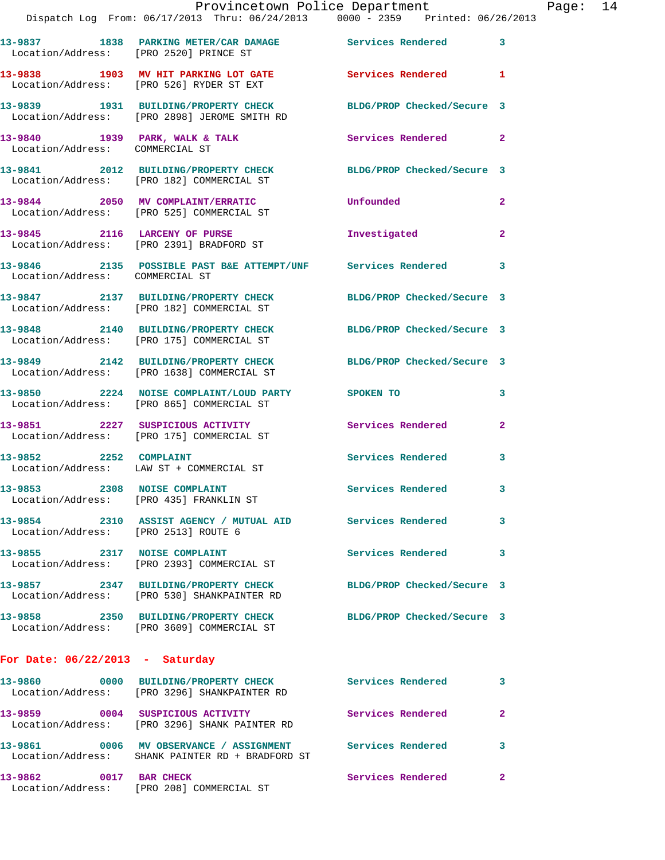|                                      | Provincetown Police Department<br>Dispatch Log From: 06/17/2013 Thru: 06/24/2013 0000 - 2359 Printed: 06/26/2013 |                            |                |
|--------------------------------------|------------------------------------------------------------------------------------------------------------------|----------------------------|----------------|
|                                      | 13-9837 1838 PARKING METER/CAR DAMAGE Services Rendered<br>Location/Address: [PRO 2520] PRINCE ST                |                            | 3              |
|                                      | 13-9838 1903 MV HIT PARKING LOT GATE<br>Location/Address: [PRO 526] RYDER ST EXT                                 | <b>Services Rendered</b>   | 1              |
|                                      | 13-9839 1931 BUILDING/PROPERTY CHECK BLDG/PROP Checked/Secure 3<br>Location/Address: [PRO 2898] JEROME SMITH RD  |                            |                |
| Location/Address: COMMERCIAL ST      | 13-9840 1939 PARK, WALK & TALK                                                                                   | Services Rendered          | $\overline{2}$ |
|                                      | 13-9841 2012 BUILDING/PROPERTY CHECK BLDG/PROP Checked/Secure 3<br>Location/Address: [PRO 182] COMMERCIAL ST     |                            |                |
|                                      | 13-9844 2050 MV COMPLAINT/ERRATIC<br>Location/Address: [PRO 525] COMMERCIAL ST                                   | Unfounded                  | $\overline{a}$ |
|                                      | 13-9845 2116 LARCENY OF PURSE<br>Location/Address: [PRO 2391] BRADFORD ST                                        | Investigated               | $\mathbf{2}$   |
| Location/Address: COMMERCIAL ST      | 13-9846 2135 POSSIBLE PAST B&E ATTEMPT/UNF Services Rendered                                                     |                            | 3              |
|                                      | 13-9847 2137 BUILDING/PROPERTY CHECK<br>Location/Address: [PRO 182] COMMERCIAL ST                                | BLDG/PROP Checked/Secure 3 |                |
|                                      | 13-9848 2140 BUILDING/PROPERTY CHECK BLDG/PROP Checked/Secure 3<br>Location/Address: [PRO 175] COMMERCIAL ST     |                            |                |
|                                      | 13-9849 2142 BUILDING/PROPERTY CHECK<br>Location/Address: [PRO 1638] COMMERCIAL ST                               | BLDG/PROP Checked/Secure 3 |                |
|                                      | 13-9850 2224 NOISE COMPLAINT/LOUD PARTY SPOKEN TO<br>Location/Address: [PRO 865] COMMERCIAL ST                   |                            | 3              |
|                                      | 13-9851 2227 SUSPICIOUS ACTIVITY<br>Location/Address: [PRO 175] COMMERCIAL ST                                    | Services Rendered          | $\overline{2}$ |
| 13-9852 2252 COMPLAINT               | Location/Address: LAW ST + COMMERCIAL ST                                                                         | <b>Services Rendered</b>   | 3              |
|                                      | 13-9853 2308 NOISE COMPLAINT<br>Location/Address: [PRO 435] FRANKLIN ST                                          | Services Rendered          | 3              |
| Location/Address: [PRO 2513] ROUTE 6 | 13-9854 2310 ASSIST AGENCY / MUTUAL AID Services Rendered                                                        |                            | 3              |
|                                      | 13-9855 2317 NOISE COMPLAINT<br>Location/Address: [PRO 2393] COMMERCIAL ST                                       | <b>Services Rendered</b>   | 3              |
|                                      | 13-9857 2347 BUILDING/PROPERTY CHECK BLDG/PROP Checked/Secure 3<br>Location/Address: [PRO 530] SHANKPAINTER RD   |                            |                |
|                                      | 13-9858 2350 BUILDING/PROPERTY CHECK<br>Location/Address: [PRO 3609] COMMERCIAL ST                               | BLDG/PROP Checked/Secure 3 |                |
| For Date: $06/22/2013$ - Saturday    |                                                                                                                  |                            |                |
|                                      | 13-9860 0000 BUILDING/PROPERTY CHECK Services Rendered<br>Location/Address: [PRO 3296] SHANKPAINTER RD           |                            | 3              |
|                                      | 13-9859 0004 SUSPICIOUS ACTIVITY<br>Location/Address: [PRO 3296] SHANK PAINTER RD                                | Services Rendered          | 2              |
|                                      | 13-9861 6006 MV OBSERVANCE / ASSIGNMENT Services Rendered<br>Location/Address: SHANK PAINTER RD + BRADFORD ST    |                            | 3              |

**13-9862 0017 BAR CHECK Services Rendered 2**  Location/Address: [PRO 208] COMMERCIAL ST

Page:  $14$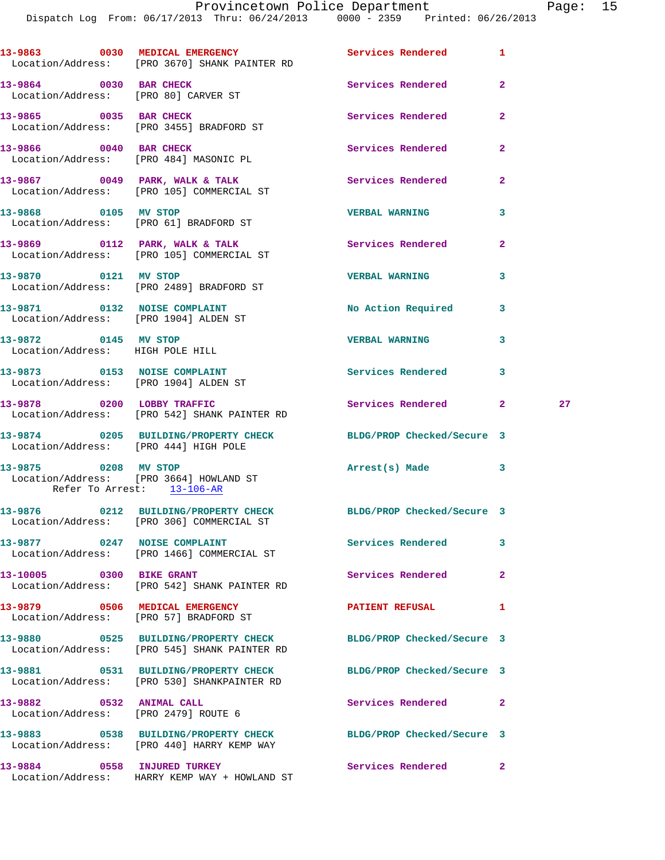|                                                                  | 13-9863 0030 MEDICAL EMERGENCY Services Rendered<br>Location/Address: [PRO 3670] SHANK PAINTER RD            |                            | $\mathbf{1}$   |    |
|------------------------------------------------------------------|--------------------------------------------------------------------------------------------------------------|----------------------------|----------------|----|
| 13-9864 0030 BAR CHECK                                           | Location/Address: [PRO 80] CARVER ST                                                                         | Services Rendered          | $\mathbf{2}$   |    |
| 13-9865 0035 BAR CHECK                                           | Location/Address: [PRO 3455] BRADFORD ST                                                                     | Services Rendered          | $\overline{2}$ |    |
| 13-9866 0040 BAR CHECK                                           | Location/Address: [PRO 484] MASONIC PL                                                                       | Services Rendered          | $\overline{2}$ |    |
|                                                                  | 13-9867 0049 PARK, WALK & TALK<br>Location/Address: [PRO 105] COMMERCIAL ST                                  | Services Rendered          | $\mathbf{2}$   |    |
| 13-9868 0105 MV STOP                                             | Location/Address: [PRO 61] BRADFORD ST                                                                       | <b>VERBAL WARNING</b>      | 3              |    |
|                                                                  | 13-9869 0112 PARK, WALK & TALK<br>Location/Address: [PRO 105] COMMERCIAL ST                                  | Services Rendered          | $\mathbf{2}$   |    |
|                                                                  | 13-9870 0121 MV STOP<br>Location/Address: [PRO 2489] BRADFORD ST                                             | <b>VERBAL WARNING</b>      | 3              |    |
|                                                                  | 13-9871 0132 NOISE COMPLAINT<br>Location/Address: [PRO 1904] ALDEN ST                                        | No Action Required         | 3              |    |
| 13-9872 0145 MV STOP<br>Location/Address: HIGH POLE HILL         |                                                                                                              | <b>VERBAL WARNING</b>      | 3              |    |
| Location/Address: [PRO 1904] ALDEN ST                            | 13-9873 0153 NOISE COMPLAINT                                                                                 | Services Rendered          | 3              |    |
|                                                                  | 13-9878 0200 LOBBY TRAFFIC<br>Location/Address: [PRO 542] SHANK PAINTER RD                                   | Services Rendered 2        |                | 27 |
| Location/Address: [PRO 444] HIGH POLE                            | 13-9874 0205 BUILDING/PROPERTY CHECK BLDG/PROP Checked/Secure 3                                              |                            |                |    |
| 13-9875 0208 MV STOP<br>Refer To Arrest: 13-106-AR               | Location/Address: [PRO 3664] HOWLAND ST                                                                      | Arrest(s) Made 3           |                |    |
|                                                                  | 13-9876 0212 BUILDING/PROPERTY CHECK BLDG/PROP Checked/Secure 3<br>Location/Address: [PRO 306] COMMERCIAL ST |                            |                |    |
|                                                                  | 13-9877 0247 NOISE COMPLAINT<br>Location/Address: [PRO 1466] COMMERCIAL ST                                   | <b>Services Rendered</b>   | 3              |    |
|                                                                  | 13-10005 0300 BIKE GRANT<br>Location/Address: [PRO 542] SHANK PAINTER RD                                     | Services Rendered          | $\mathbf{2}$   |    |
|                                                                  | 13-9879 0506 MEDICAL EMERGENCY<br>Location/Address: [PRO 57] BRADFORD ST                                     | PATIENT REFUSAL            | 1              |    |
|                                                                  | 13-9880 0525 BUILDING/PROPERTY CHECK<br>Location/Address: [PRO 545] SHANK PAINTER RD                         | BLDG/PROP Checked/Secure 3 |                |    |
|                                                                  | 13-9881 0531 BUILDING/PROPERTY CHECK<br>Location/Address: [PRO 530] SHANKPAINTER RD                          | BLDG/PROP Checked/Secure 3 |                |    |
| 13-9882 0532 ANIMAL CALL<br>Location/Address: [PRO 2479] ROUTE 6 |                                                                                                              | Services Rendered          | 2              |    |
|                                                                  | 13-9883 0538 BUILDING/PROPERTY CHECK<br>Location/Address: [PRO 440] HARRY KEMP WAY                           | BLDG/PROP Checked/Secure 3 |                |    |
|                                                                  | 13-9884 0558 INJURED TURKEY<br>Location/Address: HARRY KEMP WAY + HOWLAND ST                                 | Services Rendered          | $\mathbf{2}$   |    |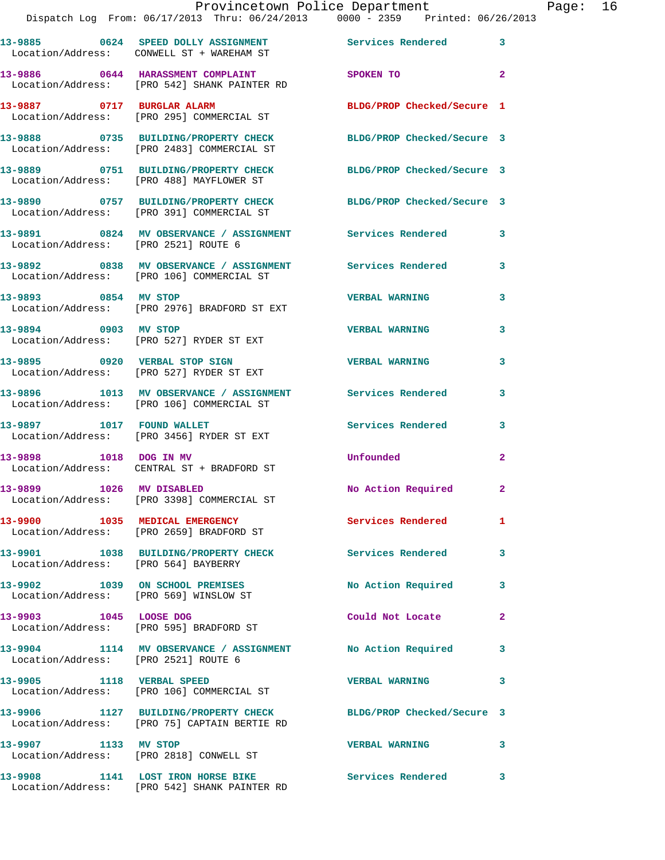|                                                                           | 13-9885 0624 SPEED DOLLY ASSIGNMENT<br>Location/Address: CONWELL ST + WAREHAM ST                                | <b>Services Rendered</b>   | - 3                        |
|---------------------------------------------------------------------------|-----------------------------------------------------------------------------------------------------------------|----------------------------|----------------------------|
|                                                                           | 13-9886 0644 HARASSMENT COMPLAINT<br>Location/Address: [PRO 542] SHANK PAINTER RD                               | SPOKEN TO                  | $\overline{\phantom{0}}$ 2 |
| 13-9887 0717 BURGLAR ALARM                                                | Location/Address: [PRO 295] COMMERCIAL ST                                                                       | BLDG/PROP Checked/Secure 1 |                            |
|                                                                           | 13-9888 0735 BUILDING/PROPERTY CHECK<br>Location/Address: [PRO 2483] COMMERCIAL ST                              | BLDG/PROP Checked/Secure 3 |                            |
|                                                                           | 13-9889 0751 BUILDING/PROPERTY CHECK<br>Location/Address: [PRO 488] MAYFLOWER ST                                | BLDG/PROP Checked/Secure 3 |                            |
|                                                                           | 13-9890 0757 BUILDING/PROPERTY CHECK<br>Location/Address: [PRO 391] COMMERCIAL ST                               | BLDG/PROP Checked/Secure 3 |                            |
| Location/Address: [PRO 2521] ROUTE 6                                      | 13-9891 6824 MV OBSERVANCE / ASSIGNMENT Services Rendered                                                       |                            | 3                          |
|                                                                           | 13-9892 0838 MV OBSERVANCE / ASSIGNMENT Services Rendered<br>Location/Address: [PRO 106] COMMERCIAL ST          |                            | 3                          |
| 13-9893 0854 MV STOP                                                      | Location/Address: [PRO 2976] BRADFORD ST EXT                                                                    | <b>VERBAL WARNING</b>      | 3                          |
| 13-9894 0903 MV STOP                                                      | Location/Address: [PRO 527] RYDER ST EXT                                                                        | <b>VERBAL WARNING</b>      | 3                          |
|                                                                           | 13-9895 0920 VERBAL STOP SIGN<br>Location/Address: [PRO 527] RYDER ST EXT                                       | <b>VERBAL WARNING</b>      | 3                          |
|                                                                           | 13-9896 1013 MV OBSERVANCE / ASSIGNMENT<br>Location/Address: [PRO 106] COMMERCIAL ST                            | Services Rendered          | 3                          |
| 13-9897 1017 FOUND WALLET                                                 | Location/Address: [PRO 3456] RYDER ST EXT                                                                       | <b>Services Rendered</b>   | 3                          |
|                                                                           | 13-9898 1018 DOG IN MV<br>Location/Address: CENTRAL ST + BRADFORD ST                                            | Unfounded                  | $\mathbf{2}$               |
| 13-9899 1026 MV DISABLED                                                  | Location/Address: [PRO 3398] COMMERCIAL ST                                                                      | No Action Required         | $\mathbf{2}$               |
|                                                                           | 13-9900 1035 MEDICAL EMERGENCY<br>Location/Address: [PRO 2659] BRADFORD ST                                      | <b>Services Rendered</b>   | $\mathbf{1}$               |
| Location/Address: [PRO 564] BAYBERRY                                      | 13-9901 1038 BUILDING/PROPERTY CHECK                                                                            | <b>Services Rendered</b>   | 3                          |
| 13-9902 1039 ON SCHOOL PREMISES<br>Location/Address: [PRO 569] WINSLOW ST |                                                                                                                 | No Action Required         | 3                          |
| 13-9903 1045 LOOSE DOG<br>Location/Address: [PRO 595] BRADFORD ST         |                                                                                                                 | Could Not Locate           | $\mathbf{2}$               |
| Location/Address: [PRO 2521] ROUTE 6                                      | 13-9904 1114 MV OBSERVANCE / ASSIGNMENT No Action Required                                                      |                            | $\overline{\mathbf{3}}$    |
| 13-9905 1118 VERBAL SPEED                                                 | Location/Address: [PRO 106] COMMERCIAL ST                                                                       | <b>VERBAL WARNING</b>      | $\overline{\mathbf{3}}$    |
|                                                                           | 13-9906 1127 BUILDING/PROPERTY CHECK BLDG/PROP Checked/Secure 3<br>Location/Address: [PRO 75] CAPTAIN BERTIE RD |                            |                            |
| 13-9907 1133 MV STOP                                                      | Location/Address: [PRO 2818] CONWELL ST                                                                         | <b>VERBAL WARNING</b>      | $\sim$ 3                   |
|                                                                           | 13-9908 1141 LOST IRON HORSE BIKE<br>Location/Address: [PRO 542] SHANK PAINTER RD                               | Services Rendered          | 3                          |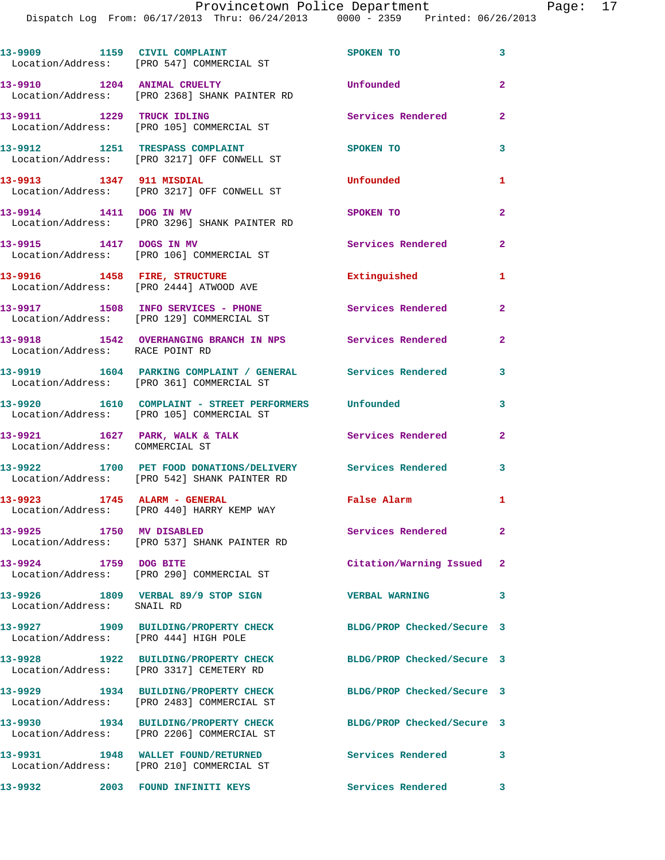|                                 | 13-9909 1159 CIVIL COMPLAINT<br>Location/Address: [PRO 547] COMMERCIAL ST                                  | SPOKEN TO                  | $\mathbf{3}$   |
|---------------------------------|------------------------------------------------------------------------------------------------------------|----------------------------|----------------|
| 13-9910 1204 ANIMAL CRUELTY     | Location/Address: [PRO 2368] SHANK PAINTER RD                                                              | Unfounded                  | $\overline{a}$ |
| 13-9911 1229 TRUCK IDLING       | Location/Address: [PRO 105] COMMERCIAL ST                                                                  | Services Rendered          | $\overline{a}$ |
|                                 | 13-9912 1251 TRESPASS COMPLAINT<br>Location/Address: [PRO 3217] OFF CONWELL ST                             | <b>SPOKEN TO</b>           | 3              |
| 13-9913 1347 911 MISDIAL        | Location/Address: [PRO 3217] OFF CONWELL ST                                                                | Unfounded                  | 1              |
| 13-9914 1411 DOG IN MV          | Location/Address: [PRO 3296] SHANK PAINTER RD                                                              | <b>SPOKEN TO</b>           | $\overline{2}$ |
| 13-9915 1417 DOGS IN MV         | Location/Address: [PRO 106] COMMERCIAL ST                                                                  | Services Rendered          | $\mathbf{2}$   |
| 13-9916 1458 FIRE, STRUCTURE    | Location/Address: [PRO 2444] ATWOOD AVE                                                                    | Extinguished               | 1              |
|                                 | 13-9917 1508 INFO SERVICES - PHONE<br>Location/Address: [PRO 129] COMMERCIAL ST                            | <b>Services Rendered</b>   | $\overline{2}$ |
| Location/Address: RACE POINT RD | 13-9918 1542 OVERHANGING BRANCH IN NPS Services Rendered                                                   |                            | $\mathbf{2}$   |
|                                 | 13-9919 1604 PARKING COMPLAINT / GENERAL Services Rendered<br>Location/Address: [PRO 361] COMMERCIAL ST    |                            | 3              |
|                                 | 13-9920   1610   COMPLAINT - STREET PERFORMERS   Unfounded<br>Location/Address: [PRO 105] COMMERCIAL ST    |                            | 3              |
| Location/Address: COMMERCIAL ST | 13-9921 1627 PARK, WALK & TALK                                                                             | <b>Services Rendered</b>   | $\overline{2}$ |
|                                 | 13-9922 1700 PET FOOD DONATIONS/DELIVERY Services Rendered<br>Location/Address: [PRO 542] SHANK PAINTER RD | $\sim$ 3                   |                |
|                                 | 13-9923 1745 ALARM - GENERAL<br>Location/Address: [PRO 440] HARRY KEMP WAY                                 | False Alarm                | 1              |
| 13-9925 1750 MV DISABLED        | Location/Address: [PRO 537] SHANK PAINTER RD                                                               | Services Rendered          | $\mathbf{2}^-$ |
| 13-9924 1759 DOG BITE           | Location/Address: [PRO 290] COMMERCIAL ST                                                                  | Citation/Warning Issued 2  |                |
| Location/Address: SNAIL RD      | 13-9926 1809 VERBAL 89/9 STOP SIGN                                                                         | <b>VERBAL WARNING</b>      | 3              |
|                                 | 13-9927 1909 BUILDING/PROPERTY CHECK<br>Location/Address: [PRO 444] HIGH POLE                              | BLDG/PROP Checked/Secure 3 |                |
|                                 | 13-9928 1922 BUILDING/PROPERTY CHECK<br>Location/Address: [PRO 3317] CEMETERY RD                           | BLDG/PROP Checked/Secure 3 |                |
|                                 | 13-9929 1934 BUILDING/PROPERTY CHECK<br>Location/Address: [PRO 2483] COMMERCIAL ST                         | BLDG/PROP Checked/Secure 3 |                |
|                                 | 13-9930 1934 BUILDING/PROPERTY CHECK<br>Location/Address: [PRO 2206] COMMERCIAL ST                         | BLDG/PROP Checked/Secure 3 |                |
|                                 | 13-9931 1948 WALLET FOUND/RETURNED                                                                         | Services Rendered          | 3              |
| 13-9932                         | Location/Address: [PRO 210] COMMERCIAL ST<br>2003 FOUND INFINITI KEYS                                      | Services Rendered          | 3              |
|                                 |                                                                                                            |                            |                |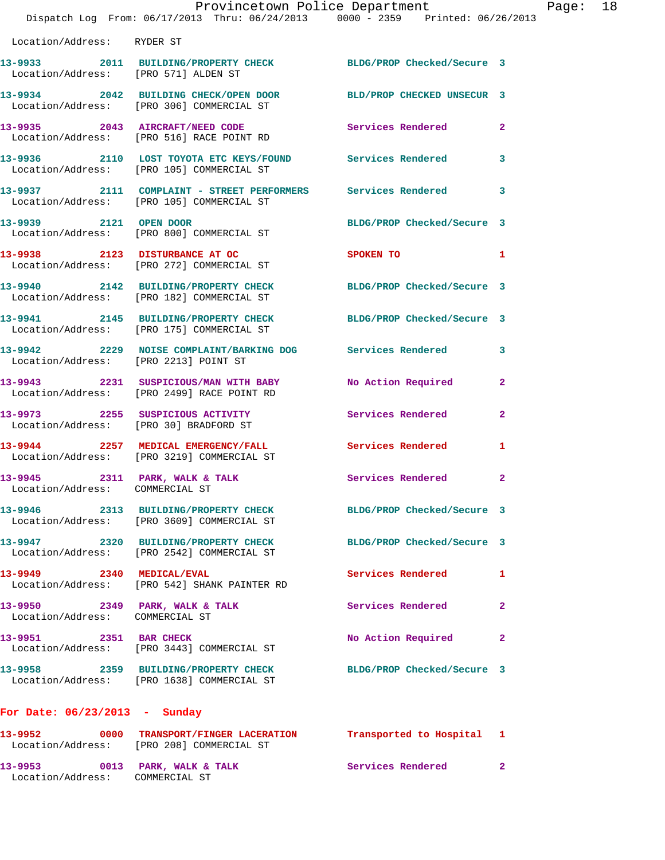|                                      |      | Provincetown Police Department                                                 |                            |   |
|--------------------------------------|------|--------------------------------------------------------------------------------|----------------------------|---|
|                                      |      | Dispatch Log From: 06/17/2013 Thru: 06/24/2013 0000 - 2359 Printed: 06/26/2013 |                            |   |
|                                      |      |                                                                                |                            |   |
| Location/Address: RYDER ST           |      |                                                                                |                            |   |
|                                      |      |                                                                                |                            |   |
|                                      |      | 13-9933 2011 BUILDING/PROPERTY CHECK                                           | BLDG/PROP Checked/Secure 3 |   |
| Location/Address: [PRO 571] ALDEN ST |      |                                                                                |                            |   |
|                                      |      | 13-9934 2042 BUILDING CHECK/OPEN DOOR                                          | BLD/PROP CHECKED UNSECUR 3 |   |
|                                      |      | Location/Address: [PRO 306] COMMERCIAL ST                                      |                            |   |
|                                      |      |                                                                                |                            |   |
|                                      |      | 13-9935 2043 AIRCRAFT/NEED CODE                                                | Services Rendered          | 2 |
|                                      |      | Location/Address: [PRO 516] RACE POINT RD                                      |                            |   |
|                                      |      |                                                                                |                            |   |
|                                      |      | Location/Address: [PRO 105] COMMERCIAL ST                                      |                            | 3 |
|                                      |      |                                                                                |                            |   |
|                                      |      |                                                                                |                            | 3 |
|                                      |      | Location/Address: [PRO 105] COMMERCIAL ST                                      |                            |   |
|                                      |      |                                                                                |                            |   |
| 13-9939 2001                         | 2121 | OPEN DOOR                                                                      | BLDG/PROP Checked/Secure 3 |   |

 Location/Address: [PRO 800] COMMERCIAL ST **13-9938 2123 DISTURBANCE AT OC SPOKEN TO 1**  Location/Address: [PRO 272] COMMERCIAL ST

**13-9940 2142 BUILDING/PROPERTY CHECK BLDG/PROP Checked/Secure 3**  Location/Address: [PRO 182] COMMERCIAL ST

**13-9941 2145 BUILDING/PROPERTY CHECK BLDG/PROP Checked/Secure 3**  Location/Address: [PRO 175] COMMERCIAL ST

**13-9942 2229 NOISE COMPLAINT/BARKING DOG Services Rendered 3**  Location/Address: [PRO 2213] POINT ST

**13-9943 2231 SUSPICIOUS/MAN WITH BABY No Action Required 2**  Location/Address: [PRO 2499] RACE POINT RD

**13-9973 2255 SUSPICIOUS ACTIVITY Services Rendered 2**  Location/Address: [PRO 30] BRADFORD ST

**13-9944 2257 MEDICAL EMERGENCY/FALL Services Rendered 1**  Location/Address: [PRO 3219] COMMERCIAL ST

13-9945 2311 PARK, WALK & TALK **Services Rendered** 2 Location/Address: COMMERCIAL ST

**13-9946 2313 BUILDING/PROPERTY CHECK BLDG/PROP Checked/Secure 3**  Location/Address: [PRO 3609] COMMERCIAL ST

**13-9947 2320 BUILDING/PROPERTY CHECK BLDG/PROP Checked/Secure 3**  Location/Address: [PRO 2542] COMMERCIAL ST

**13-9949 2340 MEDICAL/EVAL Services Rendered 1**  Location/Address: [PRO 542] SHANK PAINTER RD

**13-9950 2349 PARK, WALK & TALK Services Rendered 2**  Location/Address: COMMERCIAL ST

13-9951 2351 BAR CHECK No Action Required 2

Location/Address: [PRO 3443] COMMERCIAL ST

**13-9958 2359 BUILDING/PROPERTY CHECK BLDG/PROP Checked/Secure 3**  Location/Address: [PRO 1638] COMMERCIAL ST

**For Date: 06/23/2013 - Sunday**

**13-9952 0000 TRANSPORT/FINGER LACERATION Transported to Hospital 1**  Location/Address: [PRO 208] COMMERCIAL ST 13-9953 0013 PARK, WALK & TALK **Services Rendered** 2 Location/Address: COMMERCIAL ST

Page:  $18$ <br>(013)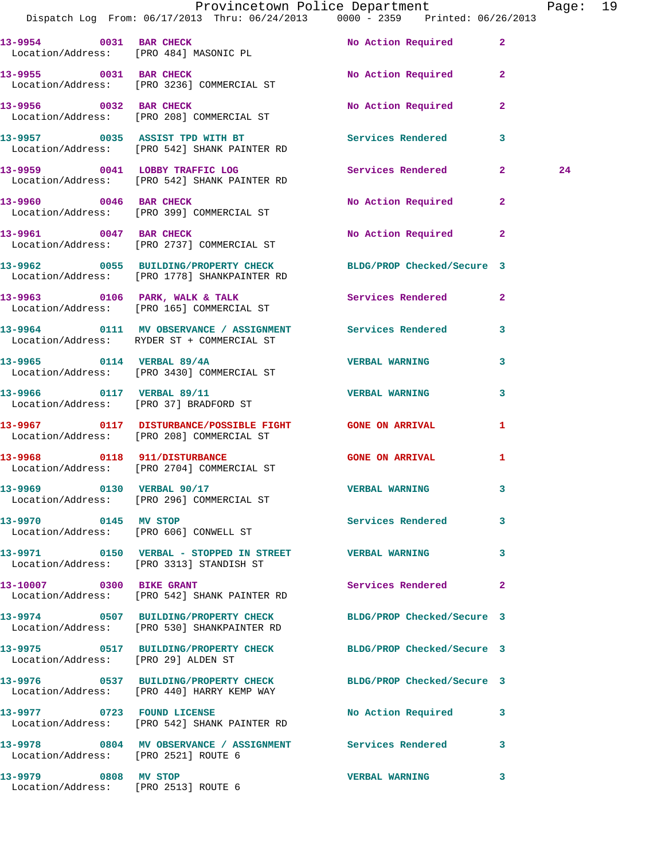|                                                              | Provincetown Police Department The Page: 19<br>Dispatch Log From: 06/17/2013 Thru: 06/24/2013 0000 - 2359 Printed: 06/26/2013 |                            |              |    |  |
|--------------------------------------------------------------|-------------------------------------------------------------------------------------------------------------------------------|----------------------------|--------------|----|--|
|                                                              | 13-9954 0031 BAR CHECK<br>Location/Address: [PRO 484] MASONIC PL                                                              | No Action Required 2       |              |    |  |
|                                                              | 13-9955 0031 BAR CHECK<br>Location/Address: [PRO 3236] COMMERCIAL ST                                                          | No Action Required         | $\mathbf{2}$ |    |  |
|                                                              | 13-9956 0032 BAR CHECK<br>Location/Address: [PRO 208] COMMERCIAL ST                                                           | No Action Required         | $\mathbf{2}$ |    |  |
|                                                              | 13-9957 0035 ASSIST TPD WITH BT Services Rendered<br>Location/Address: [PRO 542] SHANK PAINTER RD                             |                            | $\mathbf{3}$ |    |  |
|                                                              | 13-9959 0041 LOBBY TRAFFIC LOG<br>Location/Address: [PRO 542] SHANK PAINTER RD                                                | Services Rendered 2        |              | 24 |  |
|                                                              | 13-9960 0046 BAR CHECK<br>Location/Address: [PRO 399] COMMERCIAL ST                                                           | No Action Required         | $\mathbf{2}$ |    |  |
|                                                              | 13-9961 0047 BAR CHECK<br>Location/Address: [PRO 2737] COMMERCIAL ST                                                          | No Action Required         | $\mathbf{2}$ |    |  |
|                                                              | 13-9962 0055 BUILDING/PROPERTY CHECK BLDG/PROP Checked/Secure 3<br>Location/Address: [PRO 1778] SHANKPAINTER RD               |                            |              |    |  |
|                                                              | 13-9963 0106 PARK, WALK & TALK 3 Services Rendered 2<br>Location/Address: [PRO 165] COMMERCIAL ST                             |                            |              |    |  |
|                                                              | 13-9964 0111 MV OBSERVANCE / ASSIGNMENT Services Rendered<br>Location/Address: RYDER ST + COMMERCIAL ST                       |                            | 3            |    |  |
|                                                              | 13-9965 0114 VERBAL 89/4A<br>Location/Address: [PRO 3430] COMMERCIAL ST                                                       | <b>VERBAL WARNING</b>      | 3            |    |  |
|                                                              | 13-9966 0117 VERBAL 89/11<br>Location/Address: [PRO 37] BRADFORD ST                                                           | <b>VERBAL WARNING</b>      | 3            |    |  |
|                                                              | 13-9967 0117 DISTURBANCE/POSSIBLE FIGHT GONE ON ARRIVAL<br>Location/Address: [PRO 208] COMMERCIAL ST                          |                            | 1            |    |  |
|                                                              | 13-9968      0118  911/DISTURBANCE<br>Location/Address:   [PRO 2704]COMMERCIAL ST                                             | <b>GONE ON ARRIVAL</b>     | 1            |    |  |
|                                                              | 13-9969 0130 VERBAL 90/17<br>Location/Address: [PRO 296] COMMERCIAL ST                                                        | <b>VERBAL WARNING</b>      |              |    |  |
| 13-9970 0145 MV STOP                                         | Location/Address: [PRO 606] CONWELL ST                                                                                        | Services Rendered          | 3            |    |  |
|                                                              | 13-9971 0150 VERBAL - STOPPED IN STREET WERBAL WARNING<br>Location/Address: [PRO 3313] STANDISH ST                            |                            | 3            |    |  |
|                                                              | 13-10007 0300 BIKE GRANT<br>Location/Address: [PRO 542] SHANK PAINTER RD                                                      | <b>Services Rendered</b>   | $\mathbf{2}$ |    |  |
|                                                              | 13-9974 0507 BUILDING/PROPERTY CHECK BLDG/PROP Checked/Secure 3<br>Location/Address: [PRO 530] SHANKPAINTER RD                |                            |              |    |  |
| Location/Address: [PRO 29] ALDEN ST                          | 13-9975 0517 BUILDING/PROPERTY CHECK                                                                                          | BLDG/PROP Checked/Secure 3 |              |    |  |
|                                                              | 13-9976 0537 BUILDING/PROPERTY CHECK BLDG/PROP Checked/Secure 3<br>Location/Address: [PRO 440] HARRY KEMP WAY                 |                            |              |    |  |
|                                                              | 13-9977 0723 FOUND LICENSE<br>Location/Address: [PRO 542] SHANK PAINTER RD                                                    | No Action Required         | 3            |    |  |
| Location/Address: [PRO 2521] ROUTE 6                         | 13-9978 0804 MV OBSERVANCE / ASSIGNMENT Services Rendered                                                                     |                            | 3            |    |  |
| 13-9979 0808 MV STOP<br>Location/Address: [PRO 2513] ROUTE 6 |                                                                                                                               | <b>VERBAL WARNING</b>      | 3            |    |  |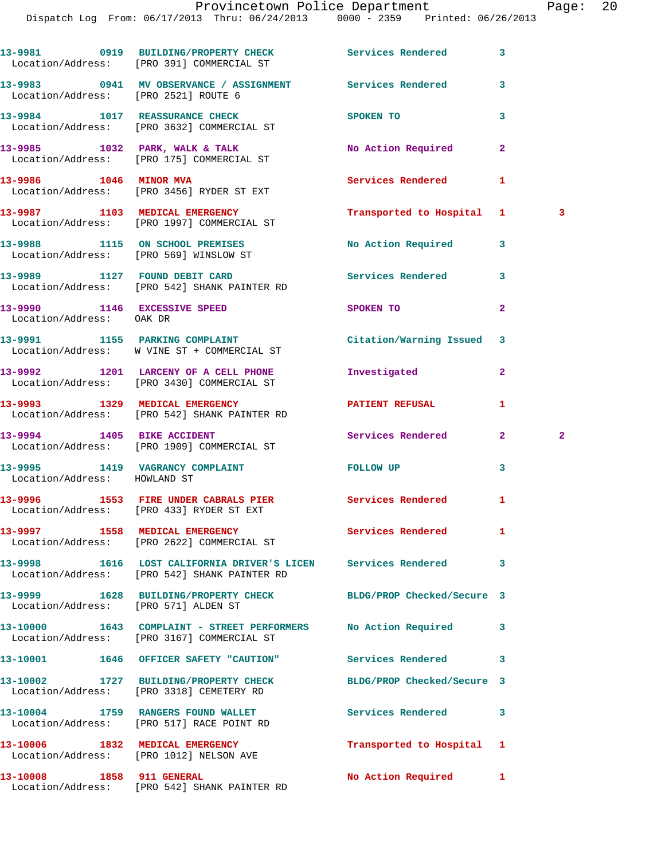**13-9981 0919 BUILDING/PROPERTY CHECK Services Rendered 3**  Location/Address: [PRO 391] COMMERCIAL ST **13-9983 0941 MV OBSERVANCE / ASSIGNMENT Services Rendered 3**  Location/Address: [PRO 2521] ROUTE 6 **13-9984** 1017 REASSURANCE CHECK SPOKEN TO 3 Location/Address: [PRO 3632] COMMERCIAL ST 13-9985 1032 PARK, WALK & TALK **No Action Required**  Location/Address: [PRO 175] COMMERCIAL ST **13-9986 1046 MINOR MVA Services Rendered 1**  Location/Address: [PRO 3456] RYDER ST EXT **13-9987 1103 MEDICAL EMERGENCY Transported to Hospital 1 3**  Location/Address: [PRO 1997] COMMERCIAL ST **13-9988 1115 ON SCHOOL PREMISES No Action Required 3**  Location/Address: [PRO 569] WINSLOW ST **13-9989 1127 FOUND DEBIT CARD Services Rendered 3**  Location/Address: [PRO 542] SHANK PAINTER RD **13-9990 1146 EXCESSIVE SPEED SPOKEN TO 2**  Location/Address: OAK DR **13-9991 1155 PARKING COMPLAINT Citation/Warning Issued 3**  Location/Address: W VINE ST + COMMERCIAL ST **13-9992 1201 LARCENY OF A CELL PHONE Investigated 2**  Location/Address: [PRO 3430] COMMERCIAL ST **13-9993 1329 MEDICAL EMERGENCY PATIENT REFUSAL 1**  Location/Address: [PRO 542] SHANK PAINTER RD **13-9994 1405 BIKE ACCIDENT Services Rendered 2 2**  Location/Address: [PRO 1909] COMMERCIAL ST **13-9995 1419 VAGRANCY COMPLAINT FOLLOW UP 3**  Location/Address: HOWLAND ST 13-9996 1553 FIRE UNDER CABRALS PIER Services Rendered 1 Location/Address: [PRO 433] RYDER ST EXT 13-9997 1558 MEDICAL EMERGENCY **12-9997 11-12-20 Services Rendered** 1 Location/Address: [PRO 2622] COMMERCIAL ST **13-9998 1616 LOST CALIFORNIA DRIVER'S LICEN Services Rendered 3**  Location/Address: [PRO 542] SHANK PAINTER RD **13-9999 1628 BUILDING/PROPERTY CHECK BLDG/PROP Checked/Secure 3**  Location/Address: [PRO 571] ALDEN ST **13-10000 1643 COMPLAINT - STREET PERFORMERS No Action Required 3**  Location/Address: [PRO 3167] COMMERCIAL ST **13-10001 1646 OFFICER SAFETY "CAUTION" Services Rendered 3 13-10002 1727 BUILDING/PROPERTY CHECK BLDG/PROP Checked/Secure 3**  Location/Address: [PRO 3318] CEMETERY RD 13-10004 1759 RANGERS FOUND WALLET **13-10004** Services Rendered 3 Location/Address: [PRO 517] RACE POINT RD **13-10006 1832 MEDICAL EMERGENCY Transported to Hospital 1**  Location/Address: [PRO 1012] NELSON AVE

**13-10008 1858 911 GENERAL No Action Required 1**  Location/Address: [PRO 542] SHANK PAINTER RD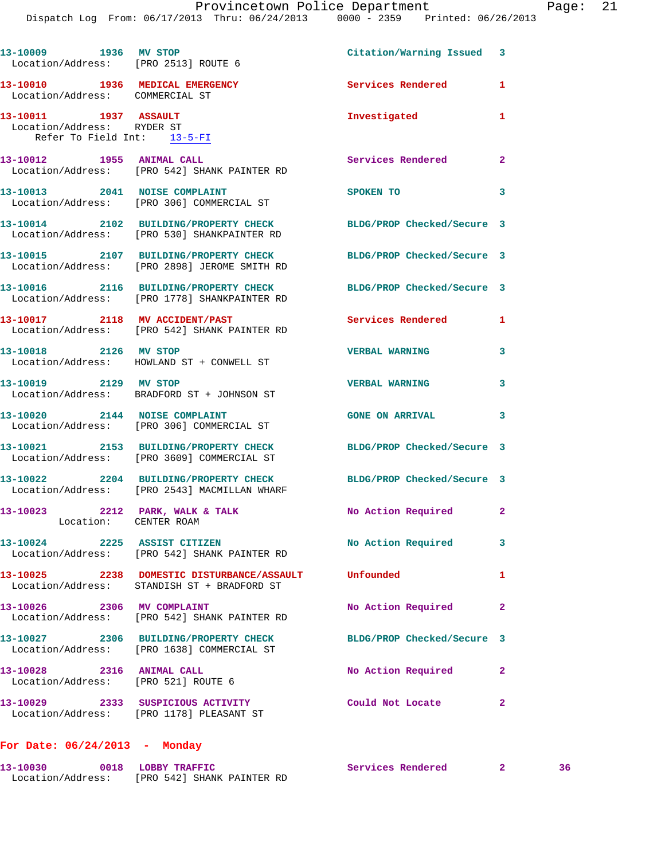| 13-10009 1936 MV STOP<br>Location/Address: [PRO 2513] ROUTE 6                      |                                                                                                     | Citation/Warning Issued 3  |                |
|------------------------------------------------------------------------------------|-----------------------------------------------------------------------------------------------------|----------------------------|----------------|
| 13-10010 1936 MEDICAL EMERGENCY<br>Location/Address: COMMERCIAL ST                 |                                                                                                     | Services Rendered          | 1              |
| 13-10011 1937 ASSAULT<br>Location/Address: RYDER ST<br>Refer To Field Int: 13-5-FI |                                                                                                     | Investigated               | 1              |
| 13-10012 1955 ANIMAL CALL                                                          | Location/Address: [PRO 542] SHANK PAINTER RD                                                        | Services Rendered          | $\overline{2}$ |
|                                                                                    | 13-10013 2041 NOISE COMPLAINT<br>Location/Address: [PRO 306] COMMERCIAL ST                          | SPOKEN TO                  | 3              |
|                                                                                    | 13-10014 2102 BUILDING/PROPERTY CHECK<br>Location/Address: [PRO 530] SHANKPAINTER RD                | BLDG/PROP Checked/Secure 3 |                |
|                                                                                    | 13-10015 2107 BUILDING/PROPERTY CHECK<br>Location/Address: [PRO 2898] JEROME SMITH RD               | BLDG/PROP Checked/Secure 3 |                |
|                                                                                    | 13-10016 2116 BUILDING/PROPERTY CHECK<br>Location/Address: [PRO 1778] SHANKPAINTER RD               | BLDG/PROP Checked/Secure 3 |                |
|                                                                                    | 13-10017 2118 MV ACCIDENT/PAST<br>Location/Address: [PRO 542] SHANK PAINTER RD                      | Services Rendered          | 1              |
| 13-10018 2126 MV STOP                                                              | Location/Address: HOWLAND ST + CONWELL ST                                                           | <b>VERBAL WARNING</b>      | 3              |
| 13-10019 2129 MV STOP                                                              | Location/Address: BRADFORD ST + JOHNSON ST                                                          | <b>VERBAL WARNING</b>      | 3              |
| 13-10020 2144 NOISE COMPLAINT                                                      | Location/Address: [PRO 306] COMMERCIAL ST                                                           | <b>GONE ON ARRIVAL</b>     | 3              |
|                                                                                    | 13-10021 2153 BUILDING/PROPERTY CHECK<br>Location/Address: [PRO 3609] COMMERCIAL ST                 | BLDG/PROP Checked/Secure 3 |                |
|                                                                                    | 13-10022 2204 BUILDING/PROPERTY CHECK<br>Location/Address: [PRO 2543] MACMILLAN WHARF               | BLDG/PROP Checked/Secure 3 |                |
| 13-10023 2212 PARK, WALK & TALK<br>Location: CENTER ROAM                           |                                                                                                     | No Action Required 2       |                |
| 13-10024 2225 ASSIST CITIZEN                                                       | Location/Address: [PRO 542] SHANK PAINTER RD                                                        | No Action Required         | 3              |
|                                                                                    | 13-10025 2238 DOMESTIC DISTURBANCE/ASSAULT Unfounded<br>Location/Address: STANDISH ST + BRADFORD ST |                            | $\mathbf{1}$   |
| 13-10026 2306 MV COMPLAINT                                                         | Location/Address: [PRO 542] SHANK PAINTER RD                                                        | No Action Required         | $\mathbf{2}$   |
|                                                                                    | 13-10027 2306 BUILDING/PROPERTY CHECK<br>Location/Address: [PRO 1638] COMMERCIAL ST                 | BLDG/PROP Checked/Secure 3 |                |
| 13-10028 2316 ANIMAL CALL<br>Location/Address: [PRO 521] ROUTE 6                   |                                                                                                     | No Action Required         | $\overline{2}$ |
|                                                                                    | 13-10029 2333 SUSPICIOUS ACTIVITY<br>Location/Address: [PRO 1178] PLEASANT ST                       | Could Not Locate           | $\mathbf{2}$   |
|                                                                                    |                                                                                                     |                            |                |

## **For Date: 06/24/2013 - Monday**

| 13-10030          | 0018 LOBBY TRAFFIC         | Services Rendered |  |
|-------------------|----------------------------|-------------------|--|
| Location/Address: | [PRO 542] SHANK PAINTER RD |                   |  |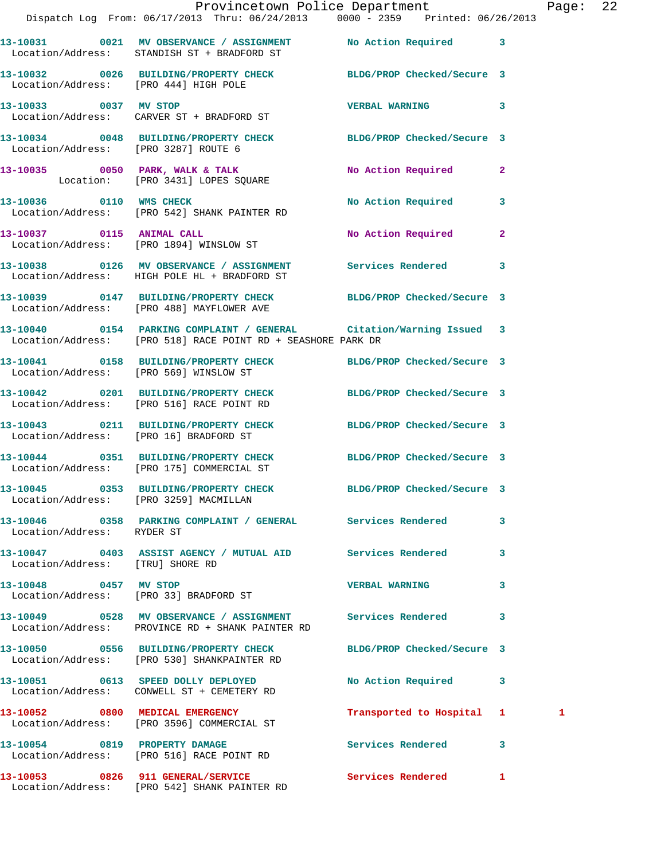|                                        | Provincetown Police Department<br>Dispatch Log From: 06/17/2013 Thru: 06/24/2013 0000 - 2359 Printed: 06/26/2013                          |                            |              | Page: 22 |  |
|----------------------------------------|-------------------------------------------------------------------------------------------------------------------------------------------|----------------------------|--------------|----------|--|
|                                        | 13-10031 0021 MV OBSERVANCE / ASSIGNMENT No Action Required 3<br>Location/Address: STANDISH ST + BRADFORD ST                              |                            |              |          |  |
| Location/Address: [PRO 444] HIGH POLE  | 13-10032 0026 BUILDING/PROPERTY CHECK BLDG/PROP Checked/Secure 3                                                                          |                            |              |          |  |
|                                        | 13-10033 0037 MV STOP<br>Location/Address: CARVER ST + BRADFORD ST                                                                        | VERBAL WARNING 3           |              |          |  |
| Location/Address: [PRO 3287] ROUTE 6   | 13-10034 0048 BUILDING/PROPERTY CHECK BLDG/PROP Checked/Secure 3                                                                          |                            |              |          |  |
|                                        | 13-10035      0050   PARK, WALK & TALK<br>Location:   [PRO 3431] LOPES SQUARE                                                             | No Action Required 2       |              |          |  |
|                                        | 13-10036 0110 WMS CHECK<br>Location/Address: [PRO 542] SHANK PAINTER RD                                                                   | No Action Required 3       |              |          |  |
|                                        | 13-10037 0115 ANIMAL CALL<br>Location/Address: [PRO 1894] WINSLOW ST                                                                      | No Action Required 2       |              |          |  |
|                                        | 13-10038 0126 MV OBSERVANCE / ASSIGNMENT Services Rendered 3<br>Location/Address: HIGH POLE HL + BRADFORD ST                              |                            |              |          |  |
|                                        | 13-10039 0147 BUILDING/PROPERTY CHECK BLDG/PROP Checked/Secure 3<br>Location/Address: [PRO 488] MAYFLOWER AVE                             |                            |              |          |  |
|                                        | 13-10040   0154   PARKING COMPLAINT / GENERAL   Citation/Warning Issued 3<br>Location/Address: [PRO 518] RACE POINT RD + SEASHORE PARK DR |                            |              |          |  |
|                                        | 13-10041 0158 BUILDING/PROPERTY CHECK BLDG/PROP Checked/Secure 3<br>Location/Address: [PRO 569] WINSLOW ST                                |                            |              |          |  |
|                                        | 13-10042 0201 BUILDING/PROPERTY CHECK BLDG/PROP Checked/Secure 3<br>Location/Address: [PRO 516] RACE POINT RD                             |                            |              |          |  |
|                                        | 13-10043 0211 BUILDING/PROPERTY CHECK BLDG/PROP Checked/Secure 3<br>Location/Address: [PRO 16] BRADFORD ST                                |                            |              |          |  |
|                                        | 13-10044 0351 BUILDING/PROPERTY CHECK BLDG/PROP Checked/Secure 3<br>Location/Address: [PRO 175] COMMERCIAL ST                             |                            |              |          |  |
| Location/Address: [PRO 3259] MACMILLAN | 13-10045 0353 BUILDING/PROPERTY CHECK                                                                                                     | BLDG/PROP Checked/Secure 3 |              |          |  |
| Location/Address: RYDER ST             | 13-10046 0358 PARKING COMPLAINT / GENERAL Services Rendered                                                                               |                            | $\mathbf{3}$ |          |  |
| Location/Address: [TRU] SHORE RD       | 13-10047 0403 ASSIST AGENCY / MUTUAL AID Services Rendered 3                                                                              |                            |              |          |  |
| 13-10048 0457 MV STOP                  | Location/Address: [PRO 33] BRADFORD ST                                                                                                    | <b>VERBAL WARNING</b>      | 3            |          |  |
|                                        | 13-10049 0528 MV OBSERVANCE / ASSIGNMENT Services Rendered 3<br>Location/Address: PROVINCE RD + SHANK PAINTER RD                          |                            |              |          |  |
|                                        | 13-10050 0556 BUILDING/PROPERTY CHECK<br>Location/Address: [PRO 530] SHANKPAINTER RD                                                      | BLDG/PROP Checked/Secure 3 |              |          |  |
|                                        | 13-10051 0613 SPEED DOLLY DEPLOYED<br>Location/Address: CONWELL ST + CEMETERY RD                                                          | No Action Required 3       |              |          |  |
|                                        | 13-10052 0800 MEDICAL EMERGENCY<br>Location/Address: [PRO 3596] COMMERCIAL ST                                                             | Transported to Hospital 1  |              | 1        |  |
| 13-10054 0819 PROPERTY DAMAGE          | Location/Address: [PRO 516] RACE POINT RD                                                                                                 | Services Rendered 3        |              |          |  |
|                                        |                                                                                                                                           |                            |              |          |  |

Location/Address: [PRO 542] SHANK PAINTER RD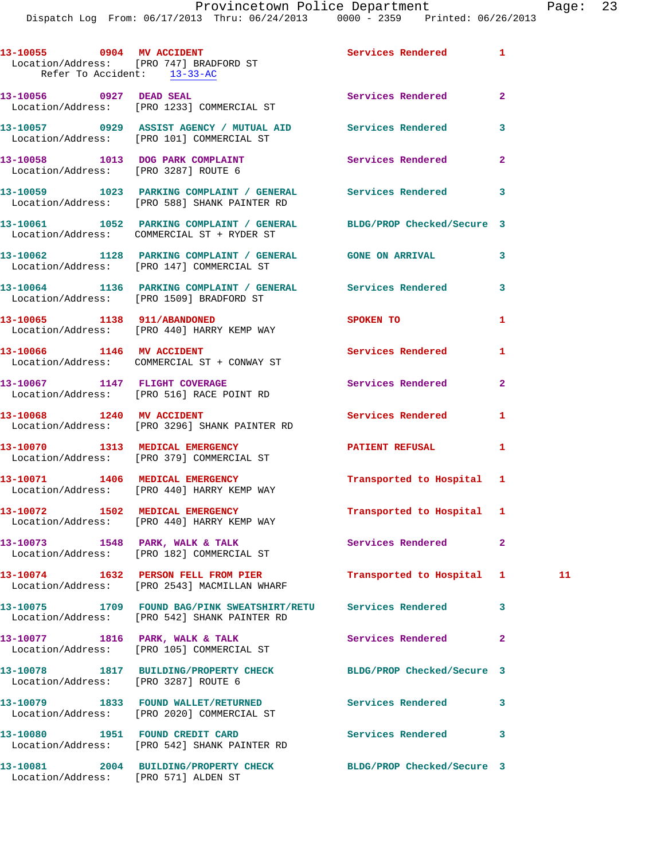|                           | 13-10055 0904 MV ACCIDENT<br>Location/Address: [PRO 747] BRADFORD ST<br>Refer To Accident: 13-33-AC                | Services Rendered          | -1             |    |
|---------------------------|--------------------------------------------------------------------------------------------------------------------|----------------------------|----------------|----|
|                           | 13-10056 0927 DEAD SEAL<br>Location/Address: [PRO 1233] COMMERCIAL ST                                              | Services Rendered          | $\mathbf{2}$   |    |
|                           | 13-10057 0929 ASSIST AGENCY / MUTUAL AID Services Rendered<br>Location/Address: [PRO 101] COMMERCIAL ST            |                            | 3              |    |
|                           | 13-10058 1013 DOG PARK COMPLAINT Services Rendered<br>Location/Address: [PRO 3287] ROUTE 6                         |                            | $\mathbf{2}$   |    |
|                           | 13-10059 1023 PARKING COMPLAINT / GENERAL Services Rendered<br>Location/Address: [PRO 588] SHANK PAINTER RD        |                            | 3              |    |
|                           | 13-10061 1052 PARKING COMPLAINT / GENERAL BLDG/PROP Checked/Secure 3<br>Location/Address: COMMERCIAL ST + RYDER ST |                            |                |    |
|                           | 13-10062 1128 PARKING COMPLAINT / GENERAL GONE ON ARRIVAL<br>Location/Address: [PRO 147] COMMERCIAL ST             |                            | 3              |    |
|                           | 13-10064 1136 PARKING COMPLAINT / GENERAL Services Rendered<br>Location/Address: [PRO 1509] BRADFORD ST            |                            | 3              |    |
|                           | 13-10065 1138 911/ABANDONED<br>Location/Address: [PRO 440] HARRY KEMP WAY                                          | SPOKEN TO                  | 1              |    |
|                           | 13-10066 1146 MV ACCIDENT<br>Location/Address: COMMERCIAL ST + CONWAY ST                                           | <b>Services Rendered</b>   | 1              |    |
|                           | 13-10067 1147 FLIGHT COVERAGE<br>Location/Address: [PRO 516] RACE POINT RD                                         | Services Rendered          | $\mathbf{2}$   |    |
| 13-10068 1240 MV ACCIDENT | Location/Address: [PRO 3296] SHANK PAINTER RD                                                                      | Services Rendered          | 1              |    |
|                           | 13-10070 1313 MEDICAL EMERGENCY<br>Location/Address: [PRO 379] COMMERCIAL ST                                       | <b>PATIENT REFUSAL</b>     | $\mathbf{1}$   |    |
|                           | 13-10071 1406 MEDICAL EMERGENCY<br>Location/Address: [PRO 440] HARRY KEMP WAY                                      | Transported to Hospital 1  |                |    |
|                           | 13-10072 1502 MEDICAL EMERGENCY<br>Location/Address: [PRO 440] HARRY KEMP WAY                                      | Transported to Hospital 1  |                |    |
|                           | 13-10073 1548 PARK, WALK & TALK<br>Location/Address: [PRO 182] COMMERCIAL ST                                       | Services Rendered          | $\mathbf{2}$   |    |
|                           | 13-10074 1632 PERSON FELL FROM PIER<br>Location/Address: [PRO 2543] MACMILLAN WHARF                                | Transported to Hospital 1  |                | 11 |
|                           | 13-10075 1709 FOUND BAG/PINK SWEATSHIRT/RETU Services Rendered<br>Location/Address: [PRO 542] SHANK PAINTER RD     |                            | 3              |    |
|                           | 13-10077 1816 PARK, WALK & TALK<br>Location/Address: [PRO 105] COMMERCIAL ST                                       | Services Rendered          | $\overline{a}$ |    |
|                           | 13-10078 1817 BUILDING/PROPERTY CHECK<br>Location/Address: [PRO 3287] ROUTE 6                                      | BLDG/PROP Checked/Secure 3 |                |    |
|                           | 13-10079 1833 FOUND WALLET/RETURNED<br>Location/Address: [PRO 2020] COMMERCIAL ST                                  | <b>Services Rendered</b>   | 3              |    |
|                           | 13-10080 1951 FOUND CREDIT CARD<br>Location/Address: [PRO 542] SHANK PAINTER RD                                    | <b>Services Rendered</b>   | 3              |    |
|                           | 13-10081 2004 BUILDING/PROPERTY CHECK BLDG/PROP Checked/Secure 3<br>Location/Address: [PRO 571] ALDEN ST           |                            |                |    |